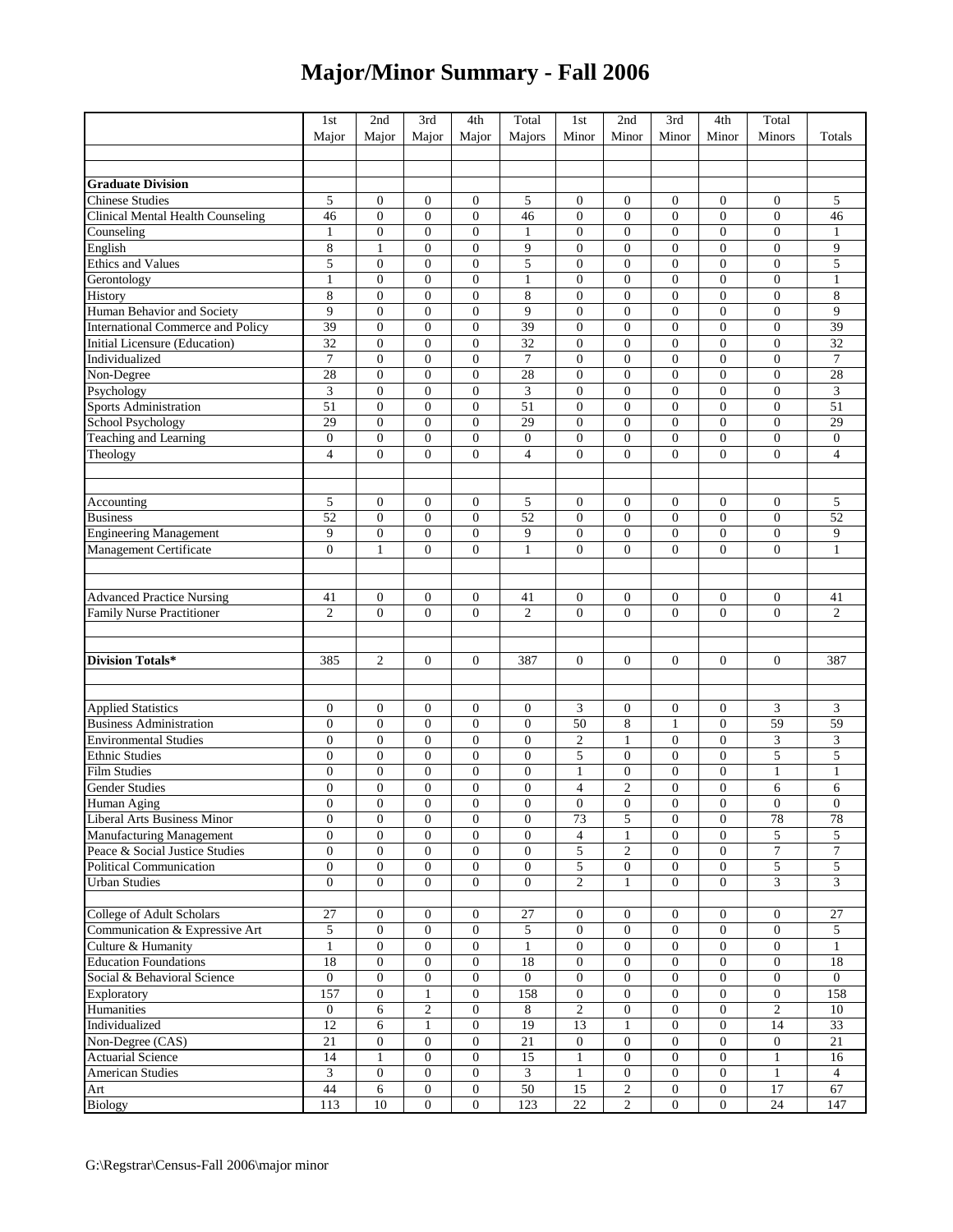## **Major/Minor Summary - Fall 2006**

| Major<br>Minor<br>Minor<br>Minor<br>Minor<br>Minors<br>Totals<br>Major<br>Major<br>Major<br>Majors<br><b>Graduate Division</b><br>Chinese Studies<br>5<br>5<br>5<br>$\boldsymbol{0}$<br>$\boldsymbol{0}$<br>0<br>$\bf{0}$<br>$\bf{0}$<br>0<br>$\bf{0}$<br>$\boldsymbol{0}$<br><b>Clinical Mental Health Counseling</b><br>46<br>$\boldsymbol{0}$<br>$\boldsymbol{0}$<br>$\boldsymbol{0}$<br>46<br>$\boldsymbol{0}$<br>$\boldsymbol{0}$<br>$\boldsymbol{0}$<br>$\boldsymbol{0}$<br>$\boldsymbol{0}$<br>46<br>Counseling<br>$\boldsymbol{0}$<br>$\boldsymbol{0}$<br>$\boldsymbol{0}$<br>$\overline{0}$<br>$\boldsymbol{0}$<br>$\boldsymbol{0}$<br>$\boldsymbol{0}$<br>$\mathbf{1}$<br>$\boldsymbol{0}$<br>1<br>1<br>English<br>8<br>9<br>$\overline{0}$<br>9<br>$\mathbf{1}$<br>$\overline{0}$<br>$\mathbf{0}$<br>$\theta$<br>$\overline{0}$<br>$\overline{0}$<br>$\mathbf{0}$<br><b>Ethics and Values</b><br>$\overline{\mathbf{5}}$<br>5<br>$\boldsymbol{0}$<br>$\boldsymbol{0}$<br>$\boldsymbol{0}$<br>5<br>$\overline{0}$<br>$\boldsymbol{0}$<br>$\boldsymbol{0}$<br>$\boldsymbol{0}$<br>$\boldsymbol{0}$<br>Gerontology<br>$\mathbf{0}$<br>$\mathbf{0}$<br>$\overline{0}$<br>$\boldsymbol{0}$<br>$\boldsymbol{0}$<br>$\boldsymbol{0}$<br>$\boldsymbol{0}$<br>$\mathbf{1}$<br>$\boldsymbol{0}$<br>$\mathbf{1}$<br>$\mathbf{1}$<br>$\,8\,$<br>8<br>$\overline{0}$<br>$\mathbf{0}$<br>$\boldsymbol{0}$<br>$\mathbf{0}$<br>8<br>$\overline{0}$<br>$\boldsymbol{0}$<br>$\boldsymbol{0}$<br>$\mathbf{0}$<br>Human Behavior and Society<br>9<br>9<br>$\boldsymbol{0}$<br>$\boldsymbol{0}$<br>$\mathbf{0}$<br>9<br>$\overline{0}$<br>$\boldsymbol{0}$<br>$\boldsymbol{0}$<br>$\boldsymbol{0}$<br>$\boldsymbol{0}$<br>39<br>39<br>$\boldsymbol{0}$<br>$\overline{0}$<br>39<br>$\mathbf{0}$<br>0<br>$\mathbf{0}$<br>$\mathbf{0}$<br>$\boldsymbol{0}$<br>$\boldsymbol{0}$<br>32<br>$\overline{0}$<br>$\boldsymbol{0}$<br>$\overline{0}$<br>$\mathbf{0}$<br>32<br>$\mathbf{0}$<br>$\boldsymbol{0}$<br>$\mathbf{0}$<br>$\boldsymbol{0}$<br>32<br>$\tau$<br>$\tau$<br>$\overline{0}$<br>$\overline{7}$<br>$\boldsymbol{0}$<br>$\boldsymbol{0}$<br>$\boldsymbol{0}$<br>$\overline{0}$<br>$\boldsymbol{0}$<br>$\boldsymbol{0}$<br>$\boldsymbol{0}$<br>28<br>28<br>$\boldsymbol{0}$<br>$\boldsymbol{0}$<br>$\boldsymbol{0}$<br>28<br>$\boldsymbol{0}$<br>$\boldsymbol{0}$<br>$\boldsymbol{0}$<br>$\boldsymbol{0}$<br>$\boldsymbol{0}$<br>3<br>$\boldsymbol{0}$<br>$\boldsymbol{0}$<br>$\mathbf{0}$<br>3<br>$\overline{0}$<br>$\boldsymbol{0}$<br>$\boldsymbol{0}$<br>$\boldsymbol{0}$<br>$\boldsymbol{0}$<br>3<br>Psychology<br>Sports Administration<br>School Psychology<br>51<br>51<br>51<br>$\overline{0}$<br>$\mathbf{0}$<br>$\overline{0}$<br>$\mathbf{0}$<br>$\theta$<br>$\overline{0}$<br>$\mathbf{0}$<br>$\mathbf{0}$<br>29<br>$\boldsymbol{0}$<br>$\boldsymbol{0}$<br>$\overline{0}$<br>$\boldsymbol{0}$<br>$\boldsymbol{0}$<br>$\boldsymbol{0}$<br>29<br>$\mathbf{0}$<br>29<br>$\boldsymbol{0}$<br>$\boldsymbol{0}$<br>$\boldsymbol{0}$<br>$\boldsymbol{0}$<br>$\overline{0}$<br>$\boldsymbol{0}$<br>$\boldsymbol{0}$<br>$\boldsymbol{0}$<br>$\boldsymbol{0}$<br>$\boldsymbol{0}$<br>$\boldsymbol{0}$<br>$\boldsymbol{0}$<br>$\overline{0}$<br>$\overline{4}$<br>$\overline{4}$<br>$\overline{0}$<br>$\overline{0}$<br>$\mathbf{0}$<br>$\overline{4}$<br>$\overline{0}$<br>$\overline{0}$<br>$\overline{0}$<br>$\mathbf{0}$<br>Accounting<br>Business<br>5<br>$\boldsymbol{0}$<br>$\overline{0}$<br>5<br>$\mathbf{0}$<br>$\boldsymbol{0}$<br>$\overline{0}$<br>0<br>$\mathbf{0}$<br>5<br>$\mathbf{0}$<br>$\overline{0}$<br>52<br>52<br>$\boldsymbol{0}$<br>$\boldsymbol{0}$<br>$\boldsymbol{0}$<br>52<br>$\overline{0}$<br>$\boldsymbol{0}$<br>$\boldsymbol{0}$<br>$\mathbf{0}$<br><b>Engineering Management</b><br>9<br>$\boldsymbol{0}$<br>$\boldsymbol{0}$<br>$\boldsymbol{0}$<br>9<br>$\boldsymbol{0}$<br>$\boldsymbol{0}$<br>$\boldsymbol{0}$<br>$\boldsymbol{0}$<br>$\boldsymbol{0}$<br>9<br>$\overline{0}$<br>$\overline{0}$<br>$\overline{0}$<br>$\theta$<br>$\boldsymbol{0}$<br>$\mathbf{0}$<br>$\overline{0}$<br>$\mathbf{1}$<br>$\mathbf{1}$<br>$\mathbf{0}$<br>$\mathbf{1}$<br><b>Advanced Practice Nursing</b><br>$\boldsymbol{0}$<br>$\boldsymbol{0}$<br>$\boldsymbol{0}$<br>0<br>41<br>41<br>$\bf{0}$<br>$\bf{0}$<br>41<br>0<br>$\bf{0}$<br>$\boldsymbol{0}$<br>$\mathbf{0}$<br>$\overline{0}$<br>$\mathfrak{2}$<br>Family Nurse Practitioner<br>$\overline{2}$<br>$\mathbf{0}$<br>$\boldsymbol{0}$<br>$\boldsymbol{0}$<br>$\overline{c}$<br>$\overline{0}$<br>$\mathbf{0}$<br>$\overline{c}$<br>$\overline{0}$<br>$\boldsymbol{0}$<br><b>Division Totals*</b><br>385<br>$\mathbf{0}$<br>387<br>$\overline{0}$<br>$\overline{0}$<br>0<br>$\overline{0}$<br>387<br><b>Applied Statistics<br/>Business Administration</b><br>$\boldsymbol{0}$<br>$\boldsymbol{0}$<br>$\mathbf{0}$<br>$\boldsymbol{0}$<br>$\boldsymbol{0}$<br>3<br>$\boldsymbol{0}$<br>$\boldsymbol{0}$<br>0<br>3<br>3<br>50<br>8<br>$\overline{0}$<br>59<br>$\overline{0}$<br>$\mathbf{0}$<br>$\overline{0}$<br>$\mathbf{0}$<br>$\boldsymbol{0}$<br>$\mathbf{1}$<br>59<br><b>Environmental Studies</b><br>$\boldsymbol{0}$<br>$\boldsymbol{0}$<br>$\mathfrak{2}$<br>$\boldsymbol{0}$<br>$\boldsymbol{0}$<br>3<br>3<br>$\boldsymbol{0}$<br>$\boldsymbol{0}$<br>$\boldsymbol{0}$<br>$\mathbf{1}$<br>5<br><b>Ethnic Studies</b><br>5<br>$\overline{0}$<br>5<br>$\mathbf{0}$<br>$\boldsymbol{0}$<br>$\boldsymbol{0}$<br>$\mathbf{0}$<br>$\boldsymbol{0}$<br>$\boldsymbol{0}$<br>$\mathbf{0}$<br>$\overline{0}$<br><b>Film Studies</b><br>$\boldsymbol{0}$<br>$\boldsymbol{0}$<br>$\boldsymbol{0}$<br>$\boldsymbol{0}$<br>$\boldsymbol{0}$<br>$\mathbf{1}$<br>$\boldsymbol{0}$<br>$\boldsymbol{0}$<br>$\mathbf{1}$<br>$\mathbf{1}$<br><b>Gender Studies</b><br>$\overline{4}$<br>$\overline{0}$<br>$\boldsymbol{0}$<br>$\boldsymbol{0}$<br>$\boldsymbol{0}$<br>$\boldsymbol{0}$<br>$\boldsymbol{0}$<br>$\overline{c}$<br>$\boldsymbol{0}$<br>6<br>6<br>Human Aging<br>$\theta$<br>$\mathbf{0}$<br>$\theta$<br>$\overline{0}$<br>$\overline{0}$<br>$\overline{0}$<br>$\theta$<br>$\overline{0}$<br>$\Omega$<br>$\Omega$<br>$\mathbf{0}$<br><b>Liberal Arts Business Minor</b><br>5<br>$\mathbf{0}$<br>$\mathbf{0}$<br>$\mathbf{0}$<br>$\mathbf{0}$<br>$\boldsymbol{0}$<br>73<br>$\mathbf{0}$<br>$\boldsymbol{0}$<br>78<br>$78\,$<br>Manufacturing Management<br>5<br>$\overline{4}$<br>$\mathbf{0}$<br>5<br>$\boldsymbol{0}$<br>$\mathbf{0}$<br>$\boldsymbol{0}$<br>$\boldsymbol{0}$<br>$\overline{0}$<br>$\mathbf{1}$<br>$\mathbf{0}$<br>Peace & Social Justice Studies<br>5<br>$\boldsymbol{7}$<br>$\tau$<br>$\boldsymbol{0}$<br>$\mathbf{0}$<br>$\boldsymbol{0}$<br>$\boldsymbol{0}$<br>$\boldsymbol{0}$<br>$\boldsymbol{2}$<br>$\boldsymbol{0}$<br>$\overline{0}$<br>Political Communication<br>5<br>$\sqrt{5}$<br>5<br>$\boldsymbol{0}$<br>$\mathbf{0}$<br>$\mathbf{0}$<br>$\boldsymbol{0}$<br>$\boldsymbol{0}$<br>$\boldsymbol{0}$<br>$\mathbf{0}$<br>$\boldsymbol{0}$<br><b>Urban</b> Studies<br>3<br>$\theta$<br>$\theta$<br>$\overline{2}$<br>$\overline{0}$<br>3<br>$\mathbf{0}$<br>$\overline{0}$<br>$\overline{0}$<br>$\mathbf{0}$<br>$\mathbf{1}$<br>College of Adult Scholars<br>27<br>27<br>0<br>27<br>$\mathbf{0}$<br>0<br>$\bf{0}$<br>$\bf{0}$<br>0<br>$\bf{0}$<br>$\mathbf{0}$<br>Communication & Expressive Art<br>5<br>$\boldsymbol{0}$<br>$\overline{0}$<br>5<br>$\boldsymbol{0}$<br>$\mathbf{0}$<br>$\overline{0}$<br>5<br>$\overline{0}$<br>$\mathbf{0}$<br>$\overline{0}$<br>Culture & Humanity<br>$\mathbf{1}$<br>$\mathbf{0}$<br>$\mathbf{0}$<br>$\boldsymbol{0}$<br>$\mathbf{1}$<br>$\boldsymbol{0}$<br>$\boldsymbol{0}$<br>$\mathbf{0}$<br>$\boldsymbol{0}$<br>$\mathbf{0}$<br>$\mathbf{1}$<br><b>Education Foundations</b><br>18<br>$\mathbf{0}$<br>$\boldsymbol{0}$<br>$\overline{0}$<br>18<br>$\boldsymbol{0}$<br>$\boldsymbol{0}$<br>$\boldsymbol{0}$<br>$\mathbf{0}$<br>18<br>$\overline{0}$<br>$\boldsymbol{0}$<br>$\boldsymbol{0}$<br>$\boldsymbol{0}$<br>$\boldsymbol{0}$<br>Social & Behavioral Science<br>$\mathbf{0}$<br>$\mathbf{0}$<br>$\boldsymbol{0}$<br>$\mathbf{0}$<br>$\boldsymbol{0}$<br>$\mathbf{0}$<br>$\overline{0}$<br>Exploratory<br>157<br>$\mathbf{0}$<br>158<br>$\boldsymbol{0}$<br>$\mathbf{1}$<br>$\boldsymbol{0}$<br>158<br>$\boldsymbol{0}$<br>$\boldsymbol{0}$<br>$\boldsymbol{0}$<br>$\boldsymbol{0}$<br>Humanities<br>$\sqrt{2}$<br>$\boldsymbol{0}$<br>2<br>$\boldsymbol{0}$<br>$\overline{c}$<br>$\boldsymbol{0}$<br>$\boldsymbol{0}$<br>$\boldsymbol{0}$<br>10<br>6<br>8<br>Individualized<br>12<br>6<br>$\mathbf{0}$<br>19<br>13<br>$\mathbf{0}$<br>$\boldsymbol{0}$<br>14<br>33<br>$\mathbf{1}$<br>1<br>Non-Degree (CAS)<br>21<br>21<br>$\boldsymbol{0}$<br>$\overline{0}$<br>21<br>$\boldsymbol{0}$<br>$\boldsymbol{0}$<br>$\overline{0}$<br>$\boldsymbol{0}$<br>$\mathbf{0}$<br>$\mathbf{0}$<br>Actuarial Science<br>14<br>$\mathbf{0}$<br>15<br>$\mathbf{1}$<br>$\boldsymbol{0}$<br>$\boldsymbol{0}$<br>$\boldsymbol{0}$<br>$\mathbf{1}$<br>16<br>1<br>$\boldsymbol{0}$<br><b>American Studies</b><br>3<br>$\boldsymbol{0}$<br>$\boldsymbol{0}$<br>$\mathbf{0}$<br>$\boldsymbol{0}$<br>3<br>$\mathbf{1}$<br>$\boldsymbol{0}$<br>$\boldsymbol{0}$<br>4<br>1<br>44<br>$\overline{50}$<br>$\overline{15}$<br>$\sqrt{2}$<br>$\boldsymbol{0}$<br>$\boldsymbol{0}$<br>17<br>Art<br>Biology<br>$\sqrt{6}$<br>$\boldsymbol{0}$<br>$\boldsymbol{0}$<br>67<br>10<br>123<br>22<br>$\overline{2}$<br>$\boldsymbol{0}$<br>$\overline{0}$<br>24<br>113<br>$\mathbf{0}$<br>$\boldsymbol{0}$<br>147 |                                   | 1st | 2nd | 3rd | 4th | Total | 1st | 2nd | 3rd | 4th | Total |  |
|-------------------------------------------------------------------------------------------------------------------------------------------------------------------------------------------------------------------------------------------------------------------------------------------------------------------------------------------------------------------------------------------------------------------------------------------------------------------------------------------------------------------------------------------------------------------------------------------------------------------------------------------------------------------------------------------------------------------------------------------------------------------------------------------------------------------------------------------------------------------------------------------------------------------------------------------------------------------------------------------------------------------------------------------------------------------------------------------------------------------------------------------------------------------------------------------------------------------------------------------------------------------------------------------------------------------------------------------------------------------------------------------------------------------------------------------------------------------------------------------------------------------------------------------------------------------------------------------------------------------------------------------------------------------------------------------------------------------------------------------------------------------------------------------------------------------------------------------------------------------------------------------------------------------------------------------------------------------------------------------------------------------------------------------------------------------------------------------------------------------------------------------------------------------------------------------------------------------------------------------------------------------------------------------------------------------------------------------------------------------------------------------------------------------------------------------------------------------------------------------------------------------------------------------------------------------------------------------------------------------------------------------------------------------------------------------------------------------------------------------------------------------------------------------------------------------------------------------------------------------------------------------------------------------------------------------------------------------------------------------------------------------------------------------------------------------------------------------------------------------------------------------------------------------------------------------------------------------------------------------------------------------------------------------------------------------------------------------------------------------------------------------------------------------------------------------------------------------------------------------------------------------------------------------------------------------------------------------------------------------------------------------------------------------------------------------------------------------------------------------------------------------------------------------------------------------------------------------------------------------------------------------------------------------------------------------------------------------------------------------------------------------------------------------------------------------------------------------------------------------------------------------------------------------------------------------------------------------------------------------------------------------------------------------------------------------------------------------------------------------------------------------------------------------------------------------------------------------------------------------------------------------------------------------------------------------------------------------------------------------------------------------------------------------------------------------------------------------------------------------------------------------------------------------------------------------------------------------------------------------------------------------------------------------------------------------------------------------------------------------------------------------------------------------------------------------------------------------------------------------------------------------------------------------------------------------------------------------------------------------------------------------------------------------------------------------------------------------------------------------------------------------------------------------------------------------------------------------------------------------------------------------------------------------------------------------------------------------------------------------------------------------------------------------------------------------------------------------------------------------------------------------------------------------------------------------------------------------------------------------------------------------------------------------------------------------------------------------------------------------------------------------------------------------------------------------------------------------------------------------------------------------------------------------------------------------------------------------------------------------------------------------------------------------------------------------------------------------------------------------------------------------------------------------------------------------------------------------------------------------------------------------------------------------------------------------------------------------------------------------------------------------------------------------------------------------------------------------------------------------------------------------------------------------------------------------------------------------------------------------------------------------------------------------------------------------------------------------------------------------------------------------------------------------------------------------------------------------------------------------------------------------------------------------------------------------------------------------------------------------------------------------------------------------------------------------------------------------------------------------------------------------------------------------------------------------------------------------------------------------------------------------------------------------------------------------------------------------------------------------------------------------------------------------------------------------------------------------------------------------------------------------------------------------------------------------------------------------------------------------------------------------------------------------------------------------------------------------------------------------------------------------------------------------------------------------------------------------------------------------------------------------------------------------------------------------------------------------------------------------------------------------------------------------------------------------------------------------------------------------------------------------------------------------------------------------------------------------------------------------------------------------------------------------------------------------------------------------------------------------------------------------------------------------------------------------------------------------------------------------------------------------------------------------------------------------------------------------------------------------------------------------------------------------------------------------------------------------------------------------------------------------------------------------------------------------------------------------------------------------------------------------------------------------------------------------------------------------------------------------------------------------------------------------------------------------------------------------------------------------------------------------------------------------------------------------------------------------------------------------------------------------------------------------------------------------------------------------------------------------------------|-----------------------------------|-----|-----|-----|-----|-------|-----|-----|-----|-----|-------|--|
|                                                                                                                                                                                                                                                                                                                                                                                                                                                                                                                                                                                                                                                                                                                                                                                                                                                                                                                                                                                                                                                                                                                                                                                                                                                                                                                                                                                                                                                                                                                                                                                                                                                                                                                                                                                                                                                                                                                                                                                                                                                                                                                                                                                                                                                                                                                                                                                                                                                                                                                                                                                                                                                                                                                                                                                                                                                                                                                                                                                                                                                                                                                                                                                                                                                                                                                                                                                                                                                                                                                                                                                                                                                                                                                                                                                                                                                                                                                                                                                                                                                                                                                                                                                                                                                                                                                                                                                                                                                                                                                                                                                                                                                                                                                                                                                                                                                                                                                                                                                                                                                                                                                                                                                                                                                                                                                                                                                                                                                                                                                                                                                                                                                                                                                                                                                                                                                                                                                                                                                                                                                                                                                                                                                                                                                                                                                                                                                                                                                                                                                                                                                                                                                                                                                                                                                                                                                                                                                                                                                                                                                                                                                                                                                                                                                                                                                                                                                                                                                                                                                                                                                                                                                                                                                                                                                                                                                                                                                                                                                                                                                                                                                                                                                                                                                                                                                                                                                                                                                                                                                                                                                                                                                                                                                                                                                                                                                                                                                                                                                                                                                                                                                                                                                                                                                                                                                                                                                                                                                                                                                                                                                                                               |                                   |     |     |     |     |       |     |     |     |     |       |  |
|                                                                                                                                                                                                                                                                                                                                                                                                                                                                                                                                                                                                                                                                                                                                                                                                                                                                                                                                                                                                                                                                                                                                                                                                                                                                                                                                                                                                                                                                                                                                                                                                                                                                                                                                                                                                                                                                                                                                                                                                                                                                                                                                                                                                                                                                                                                                                                                                                                                                                                                                                                                                                                                                                                                                                                                                                                                                                                                                                                                                                                                                                                                                                                                                                                                                                                                                                                                                                                                                                                                                                                                                                                                                                                                                                                                                                                                                                                                                                                                                                                                                                                                                                                                                                                                                                                                                                                                                                                                                                                                                                                                                                                                                                                                                                                                                                                                                                                                                                                                                                                                                                                                                                                                                                                                                                                                                                                                                                                                                                                                                                                                                                                                                                                                                                                                                                                                                                                                                                                                                                                                                                                                                                                                                                                                                                                                                                                                                                                                                                                                                                                                                                                                                                                                                                                                                                                                                                                                                                                                                                                                                                                                                                                                                                                                                                                                                                                                                                                                                                                                                                                                                                                                                                                                                                                                                                                                                                                                                                                                                                                                                                                                                                                                                                                                                                                                                                                                                                                                                                                                                                                                                                                                                                                                                                                                                                                                                                                                                                                                                                                                                                                                                                                                                                                                                                                                                                                                                                                                                                                                                                                                                                               |                                   |     |     |     |     |       |     |     |     |     |       |  |
|                                                                                                                                                                                                                                                                                                                                                                                                                                                                                                                                                                                                                                                                                                                                                                                                                                                                                                                                                                                                                                                                                                                                                                                                                                                                                                                                                                                                                                                                                                                                                                                                                                                                                                                                                                                                                                                                                                                                                                                                                                                                                                                                                                                                                                                                                                                                                                                                                                                                                                                                                                                                                                                                                                                                                                                                                                                                                                                                                                                                                                                                                                                                                                                                                                                                                                                                                                                                                                                                                                                                                                                                                                                                                                                                                                                                                                                                                                                                                                                                                                                                                                                                                                                                                                                                                                                                                                                                                                                                                                                                                                                                                                                                                                                                                                                                                                                                                                                                                                                                                                                                                                                                                                                                                                                                                                                                                                                                                                                                                                                                                                                                                                                                                                                                                                                                                                                                                                                                                                                                                                                                                                                                                                                                                                                                                                                                                                                                                                                                                                                                                                                                                                                                                                                                                                                                                                                                                                                                                                                                                                                                                                                                                                                                                                                                                                                                                                                                                                                                                                                                                                                                                                                                                                                                                                                                                                                                                                                                                                                                                                                                                                                                                                                                                                                                                                                                                                                                                                                                                                                                                                                                                                                                                                                                                                                                                                                                                                                                                                                                                                                                                                                                                                                                                                                                                                                                                                                                                                                                                                                                                                                                                               |                                   |     |     |     |     |       |     |     |     |     |       |  |
|                                                                                                                                                                                                                                                                                                                                                                                                                                                                                                                                                                                                                                                                                                                                                                                                                                                                                                                                                                                                                                                                                                                                                                                                                                                                                                                                                                                                                                                                                                                                                                                                                                                                                                                                                                                                                                                                                                                                                                                                                                                                                                                                                                                                                                                                                                                                                                                                                                                                                                                                                                                                                                                                                                                                                                                                                                                                                                                                                                                                                                                                                                                                                                                                                                                                                                                                                                                                                                                                                                                                                                                                                                                                                                                                                                                                                                                                                                                                                                                                                                                                                                                                                                                                                                                                                                                                                                                                                                                                                                                                                                                                                                                                                                                                                                                                                                                                                                                                                                                                                                                                                                                                                                                                                                                                                                                                                                                                                                                                                                                                                                                                                                                                                                                                                                                                                                                                                                                                                                                                                                                                                                                                                                                                                                                                                                                                                                                                                                                                                                                                                                                                                                                                                                                                                                                                                                                                                                                                                                                                                                                                                                                                                                                                                                                                                                                                                                                                                                                                                                                                                                                                                                                                                                                                                                                                                                                                                                                                                                                                                                                                                                                                                                                                                                                                                                                                                                                                                                                                                                                                                                                                                                                                                                                                                                                                                                                                                                                                                                                                                                                                                                                                                                                                                                                                                                                                                                                                                                                                                                                                                                                                                               |                                   |     |     |     |     |       |     |     |     |     |       |  |
|                                                                                                                                                                                                                                                                                                                                                                                                                                                                                                                                                                                                                                                                                                                                                                                                                                                                                                                                                                                                                                                                                                                                                                                                                                                                                                                                                                                                                                                                                                                                                                                                                                                                                                                                                                                                                                                                                                                                                                                                                                                                                                                                                                                                                                                                                                                                                                                                                                                                                                                                                                                                                                                                                                                                                                                                                                                                                                                                                                                                                                                                                                                                                                                                                                                                                                                                                                                                                                                                                                                                                                                                                                                                                                                                                                                                                                                                                                                                                                                                                                                                                                                                                                                                                                                                                                                                                                                                                                                                                                                                                                                                                                                                                                                                                                                                                                                                                                                                                                                                                                                                                                                                                                                                                                                                                                                                                                                                                                                                                                                                                                                                                                                                                                                                                                                                                                                                                                                                                                                                                                                                                                                                                                                                                                                                                                                                                                                                                                                                                                                                                                                                                                                                                                                                                                                                                                                                                                                                                                                                                                                                                                                                                                                                                                                                                                                                                                                                                                                                                                                                                                                                                                                                                                                                                                                                                                                                                                                                                                                                                                                                                                                                                                                                                                                                                                                                                                                                                                                                                                                                                                                                                                                                                                                                                                                                                                                                                                                                                                                                                                                                                                                                                                                                                                                                                                                                                                                                                                                                                                                                                                                                                               |                                   |     |     |     |     |       |     |     |     |     |       |  |
|                                                                                                                                                                                                                                                                                                                                                                                                                                                                                                                                                                                                                                                                                                                                                                                                                                                                                                                                                                                                                                                                                                                                                                                                                                                                                                                                                                                                                                                                                                                                                                                                                                                                                                                                                                                                                                                                                                                                                                                                                                                                                                                                                                                                                                                                                                                                                                                                                                                                                                                                                                                                                                                                                                                                                                                                                                                                                                                                                                                                                                                                                                                                                                                                                                                                                                                                                                                                                                                                                                                                                                                                                                                                                                                                                                                                                                                                                                                                                                                                                                                                                                                                                                                                                                                                                                                                                                                                                                                                                                                                                                                                                                                                                                                                                                                                                                                                                                                                                                                                                                                                                                                                                                                                                                                                                                                                                                                                                                                                                                                                                                                                                                                                                                                                                                                                                                                                                                                                                                                                                                                                                                                                                                                                                                                                                                                                                                                                                                                                                                                                                                                                                                                                                                                                                                                                                                                                                                                                                                                                                                                                                                                                                                                                                                                                                                                                                                                                                                                                                                                                                                                                                                                                                                                                                                                                                                                                                                                                                                                                                                                                                                                                                                                                                                                                                                                                                                                                                                                                                                                                                                                                                                                                                                                                                                                                                                                                                                                                                                                                                                                                                                                                                                                                                                                                                                                                                                                                                                                                                                                                                                                                                               |                                   |     |     |     |     |       |     |     |     |     |       |  |
|                                                                                                                                                                                                                                                                                                                                                                                                                                                                                                                                                                                                                                                                                                                                                                                                                                                                                                                                                                                                                                                                                                                                                                                                                                                                                                                                                                                                                                                                                                                                                                                                                                                                                                                                                                                                                                                                                                                                                                                                                                                                                                                                                                                                                                                                                                                                                                                                                                                                                                                                                                                                                                                                                                                                                                                                                                                                                                                                                                                                                                                                                                                                                                                                                                                                                                                                                                                                                                                                                                                                                                                                                                                                                                                                                                                                                                                                                                                                                                                                                                                                                                                                                                                                                                                                                                                                                                                                                                                                                                                                                                                                                                                                                                                                                                                                                                                                                                                                                                                                                                                                                                                                                                                                                                                                                                                                                                                                                                                                                                                                                                                                                                                                                                                                                                                                                                                                                                                                                                                                                                                                                                                                                                                                                                                                                                                                                                                                                                                                                                                                                                                                                                                                                                                                                                                                                                                                                                                                                                                                                                                                                                                                                                                                                                                                                                                                                                                                                                                                                                                                                                                                                                                                                                                                                                                                                                                                                                                                                                                                                                                                                                                                                                                                                                                                                                                                                                                                                                                                                                                                                                                                                                                                                                                                                                                                                                                                                                                                                                                                                                                                                                                                                                                                                                                                                                                                                                                                                                                                                                                                                                                                                               |                                   |     |     |     |     |       |     |     |     |     |       |  |
|                                                                                                                                                                                                                                                                                                                                                                                                                                                                                                                                                                                                                                                                                                                                                                                                                                                                                                                                                                                                                                                                                                                                                                                                                                                                                                                                                                                                                                                                                                                                                                                                                                                                                                                                                                                                                                                                                                                                                                                                                                                                                                                                                                                                                                                                                                                                                                                                                                                                                                                                                                                                                                                                                                                                                                                                                                                                                                                                                                                                                                                                                                                                                                                                                                                                                                                                                                                                                                                                                                                                                                                                                                                                                                                                                                                                                                                                                                                                                                                                                                                                                                                                                                                                                                                                                                                                                                                                                                                                                                                                                                                                                                                                                                                                                                                                                                                                                                                                                                                                                                                                                                                                                                                                                                                                                                                                                                                                                                                                                                                                                                                                                                                                                                                                                                                                                                                                                                                                                                                                                                                                                                                                                                                                                                                                                                                                                                                                                                                                                                                                                                                                                                                                                                                                                                                                                                                                                                                                                                                                                                                                                                                                                                                                                                                                                                                                                                                                                                                                                                                                                                                                                                                                                                                                                                                                                                                                                                                                                                                                                                                                                                                                                                                                                                                                                                                                                                                                                                                                                                                                                                                                                                                                                                                                                                                                                                                                                                                                                                                                                                                                                                                                                                                                                                                                                                                                                                                                                                                                                                                                                                                                                               |                                   |     |     |     |     |       |     |     |     |     |       |  |
|                                                                                                                                                                                                                                                                                                                                                                                                                                                                                                                                                                                                                                                                                                                                                                                                                                                                                                                                                                                                                                                                                                                                                                                                                                                                                                                                                                                                                                                                                                                                                                                                                                                                                                                                                                                                                                                                                                                                                                                                                                                                                                                                                                                                                                                                                                                                                                                                                                                                                                                                                                                                                                                                                                                                                                                                                                                                                                                                                                                                                                                                                                                                                                                                                                                                                                                                                                                                                                                                                                                                                                                                                                                                                                                                                                                                                                                                                                                                                                                                                                                                                                                                                                                                                                                                                                                                                                                                                                                                                                                                                                                                                                                                                                                                                                                                                                                                                                                                                                                                                                                                                                                                                                                                                                                                                                                                                                                                                                                                                                                                                                                                                                                                                                                                                                                                                                                                                                                                                                                                                                                                                                                                                                                                                                                                                                                                                                                                                                                                                                                                                                                                                                                                                                                                                                                                                                                                                                                                                                                                                                                                                                                                                                                                                                                                                                                                                                                                                                                                                                                                                                                                                                                                                                                                                                                                                                                                                                                                                                                                                                                                                                                                                                                                                                                                                                                                                                                                                                                                                                                                                                                                                                                                                                                                                                                                                                                                                                                                                                                                                                                                                                                                                                                                                                                                                                                                                                                                                                                                                                                                                                                                                               |                                   |     |     |     |     |       |     |     |     |     |       |  |
|                                                                                                                                                                                                                                                                                                                                                                                                                                                                                                                                                                                                                                                                                                                                                                                                                                                                                                                                                                                                                                                                                                                                                                                                                                                                                                                                                                                                                                                                                                                                                                                                                                                                                                                                                                                                                                                                                                                                                                                                                                                                                                                                                                                                                                                                                                                                                                                                                                                                                                                                                                                                                                                                                                                                                                                                                                                                                                                                                                                                                                                                                                                                                                                                                                                                                                                                                                                                                                                                                                                                                                                                                                                                                                                                                                                                                                                                                                                                                                                                                                                                                                                                                                                                                                                                                                                                                                                                                                                                                                                                                                                                                                                                                                                                                                                                                                                                                                                                                                                                                                                                                                                                                                                                                                                                                                                                                                                                                                                                                                                                                                                                                                                                                                                                                                                                                                                                                                                                                                                                                                                                                                                                                                                                                                                                                                                                                                                                                                                                                                                                                                                                                                                                                                                                                                                                                                                                                                                                                                                                                                                                                                                                                                                                                                                                                                                                                                                                                                                                                                                                                                                                                                                                                                                                                                                                                                                                                                                                                                                                                                                                                                                                                                                                                                                                                                                                                                                                                                                                                                                                                                                                                                                                                                                                                                                                                                                                                                                                                                                                                                                                                                                                                                                                                                                                                                                                                                                                                                                                                                                                                                                                                               |                                   |     |     |     |     |       |     |     |     |     |       |  |
|                                                                                                                                                                                                                                                                                                                                                                                                                                                                                                                                                                                                                                                                                                                                                                                                                                                                                                                                                                                                                                                                                                                                                                                                                                                                                                                                                                                                                                                                                                                                                                                                                                                                                                                                                                                                                                                                                                                                                                                                                                                                                                                                                                                                                                                                                                                                                                                                                                                                                                                                                                                                                                                                                                                                                                                                                                                                                                                                                                                                                                                                                                                                                                                                                                                                                                                                                                                                                                                                                                                                                                                                                                                                                                                                                                                                                                                                                                                                                                                                                                                                                                                                                                                                                                                                                                                                                                                                                                                                                                                                                                                                                                                                                                                                                                                                                                                                                                                                                                                                                                                                                                                                                                                                                                                                                                                                                                                                                                                                                                                                                                                                                                                                                                                                                                                                                                                                                                                                                                                                                                                                                                                                                                                                                                                                                                                                                                                                                                                                                                                                                                                                                                                                                                                                                                                                                                                                                                                                                                                                                                                                                                                                                                                                                                                                                                                                                                                                                                                                                                                                                                                                                                                                                                                                                                                                                                                                                                                                                                                                                                                                                                                                                                                                                                                                                                                                                                                                                                                                                                                                                                                                                                                                                                                                                                                                                                                                                                                                                                                                                                                                                                                                                                                                                                                                                                                                                                                                                                                                                                                                                                                                                               | History                           |     |     |     |     |       |     |     |     |     |       |  |
|                                                                                                                                                                                                                                                                                                                                                                                                                                                                                                                                                                                                                                                                                                                                                                                                                                                                                                                                                                                                                                                                                                                                                                                                                                                                                                                                                                                                                                                                                                                                                                                                                                                                                                                                                                                                                                                                                                                                                                                                                                                                                                                                                                                                                                                                                                                                                                                                                                                                                                                                                                                                                                                                                                                                                                                                                                                                                                                                                                                                                                                                                                                                                                                                                                                                                                                                                                                                                                                                                                                                                                                                                                                                                                                                                                                                                                                                                                                                                                                                                                                                                                                                                                                                                                                                                                                                                                                                                                                                                                                                                                                                                                                                                                                                                                                                                                                                                                                                                                                                                                                                                                                                                                                                                                                                                                                                                                                                                                                                                                                                                                                                                                                                                                                                                                                                                                                                                                                                                                                                                                                                                                                                                                                                                                                                                                                                                                                                                                                                                                                                                                                                                                                                                                                                                                                                                                                                                                                                                                                                                                                                                                                                                                                                                                                                                                                                                                                                                                                                                                                                                                                                                                                                                                                                                                                                                                                                                                                                                                                                                                                                                                                                                                                                                                                                                                                                                                                                                                                                                                                                                                                                                                                                                                                                                                                                                                                                                                                                                                                                                                                                                                                                                                                                                                                                                                                                                                                                                                                                                                                                                                                                                               |                                   |     |     |     |     |       |     |     |     |     |       |  |
|                                                                                                                                                                                                                                                                                                                                                                                                                                                                                                                                                                                                                                                                                                                                                                                                                                                                                                                                                                                                                                                                                                                                                                                                                                                                                                                                                                                                                                                                                                                                                                                                                                                                                                                                                                                                                                                                                                                                                                                                                                                                                                                                                                                                                                                                                                                                                                                                                                                                                                                                                                                                                                                                                                                                                                                                                                                                                                                                                                                                                                                                                                                                                                                                                                                                                                                                                                                                                                                                                                                                                                                                                                                                                                                                                                                                                                                                                                                                                                                                                                                                                                                                                                                                                                                                                                                                                                                                                                                                                                                                                                                                                                                                                                                                                                                                                                                                                                                                                                                                                                                                                                                                                                                                                                                                                                                                                                                                                                                                                                                                                                                                                                                                                                                                                                                                                                                                                                                                                                                                                                                                                                                                                                                                                                                                                                                                                                                                                                                                                                                                                                                                                                                                                                                                                                                                                                                                                                                                                                                                                                                                                                                                                                                                                                                                                                                                                                                                                                                                                                                                                                                                                                                                                                                                                                                                                                                                                                                                                                                                                                                                                                                                                                                                                                                                                                                                                                                                                                                                                                                                                                                                                                                                                                                                                                                                                                                                                                                                                                                                                                                                                                                                                                                                                                                                                                                                                                                                                                                                                                                                                                                                                               | International Commerce and Policy |     |     |     |     |       |     |     |     |     |       |  |
|                                                                                                                                                                                                                                                                                                                                                                                                                                                                                                                                                                                                                                                                                                                                                                                                                                                                                                                                                                                                                                                                                                                                                                                                                                                                                                                                                                                                                                                                                                                                                                                                                                                                                                                                                                                                                                                                                                                                                                                                                                                                                                                                                                                                                                                                                                                                                                                                                                                                                                                                                                                                                                                                                                                                                                                                                                                                                                                                                                                                                                                                                                                                                                                                                                                                                                                                                                                                                                                                                                                                                                                                                                                                                                                                                                                                                                                                                                                                                                                                                                                                                                                                                                                                                                                                                                                                                                                                                                                                                                                                                                                                                                                                                                                                                                                                                                                                                                                                                                                                                                                                                                                                                                                                                                                                                                                                                                                                                                                                                                                                                                                                                                                                                                                                                                                                                                                                                                                                                                                                                                                                                                                                                                                                                                                                                                                                                                                                                                                                                                                                                                                                                                                                                                                                                                                                                                                                                                                                                                                                                                                                                                                                                                                                                                                                                                                                                                                                                                                                                                                                                                                                                                                                                                                                                                                                                                                                                                                                                                                                                                                                                                                                                                                                                                                                                                                                                                                                                                                                                                                                                                                                                                                                                                                                                                                                                                                                                                                                                                                                                                                                                                                                                                                                                                                                                                                                                                                                                                                                                                                                                                                                                               | Initial Licensure (Education)     |     |     |     |     |       |     |     |     |     |       |  |
|                                                                                                                                                                                                                                                                                                                                                                                                                                                                                                                                                                                                                                                                                                                                                                                                                                                                                                                                                                                                                                                                                                                                                                                                                                                                                                                                                                                                                                                                                                                                                                                                                                                                                                                                                                                                                                                                                                                                                                                                                                                                                                                                                                                                                                                                                                                                                                                                                                                                                                                                                                                                                                                                                                                                                                                                                                                                                                                                                                                                                                                                                                                                                                                                                                                                                                                                                                                                                                                                                                                                                                                                                                                                                                                                                                                                                                                                                                                                                                                                                                                                                                                                                                                                                                                                                                                                                                                                                                                                                                                                                                                                                                                                                                                                                                                                                                                                                                                                                                                                                                                                                                                                                                                                                                                                                                                                                                                                                                                                                                                                                                                                                                                                                                                                                                                                                                                                                                                                                                                                                                                                                                                                                                                                                                                                                                                                                                                                                                                                                                                                                                                                                                                                                                                                                                                                                                                                                                                                                                                                                                                                                                                                                                                                                                                                                                                                                                                                                                                                                                                                                                                                                                                                                                                                                                                                                                                                                                                                                                                                                                                                                                                                                                                                                                                                                                                                                                                                                                                                                                                                                                                                                                                                                                                                                                                                                                                                                                                                                                                                                                                                                                                                                                                                                                                                                                                                                                                                                                                                                                                                                                                                                               | Individualized                    |     |     |     |     |       |     |     |     |     |       |  |
|                                                                                                                                                                                                                                                                                                                                                                                                                                                                                                                                                                                                                                                                                                                                                                                                                                                                                                                                                                                                                                                                                                                                                                                                                                                                                                                                                                                                                                                                                                                                                                                                                                                                                                                                                                                                                                                                                                                                                                                                                                                                                                                                                                                                                                                                                                                                                                                                                                                                                                                                                                                                                                                                                                                                                                                                                                                                                                                                                                                                                                                                                                                                                                                                                                                                                                                                                                                                                                                                                                                                                                                                                                                                                                                                                                                                                                                                                                                                                                                                                                                                                                                                                                                                                                                                                                                                                                                                                                                                                                                                                                                                                                                                                                                                                                                                                                                                                                                                                                                                                                                                                                                                                                                                                                                                                                                                                                                                                                                                                                                                                                                                                                                                                                                                                                                                                                                                                                                                                                                                                                                                                                                                                                                                                                                                                                                                                                                                                                                                                                                                                                                                                                                                                                                                                                                                                                                                                                                                                                                                                                                                                                                                                                                                                                                                                                                                                                                                                                                                                                                                                                                                                                                                                                                                                                                                                                                                                                                                                                                                                                                                                                                                                                                                                                                                                                                                                                                                                                                                                                                                                                                                                                                                                                                                                                                                                                                                                                                                                                                                                                                                                                                                                                                                                                                                                                                                                                                                                                                                                                                                                                                                                               | Non-Degree                        |     |     |     |     |       |     |     |     |     |       |  |
|                                                                                                                                                                                                                                                                                                                                                                                                                                                                                                                                                                                                                                                                                                                                                                                                                                                                                                                                                                                                                                                                                                                                                                                                                                                                                                                                                                                                                                                                                                                                                                                                                                                                                                                                                                                                                                                                                                                                                                                                                                                                                                                                                                                                                                                                                                                                                                                                                                                                                                                                                                                                                                                                                                                                                                                                                                                                                                                                                                                                                                                                                                                                                                                                                                                                                                                                                                                                                                                                                                                                                                                                                                                                                                                                                                                                                                                                                                                                                                                                                                                                                                                                                                                                                                                                                                                                                                                                                                                                                                                                                                                                                                                                                                                                                                                                                                                                                                                                                                                                                                                                                                                                                                                                                                                                                                                                                                                                                                                                                                                                                                                                                                                                                                                                                                                                                                                                                                                                                                                                                                                                                                                                                                                                                                                                                                                                                                                                                                                                                                                                                                                                                                                                                                                                                                                                                                                                                                                                                                                                                                                                                                                                                                                                                                                                                                                                                                                                                                                                                                                                                                                                                                                                                                                                                                                                                                                                                                                                                                                                                                                                                                                                                                                                                                                                                                                                                                                                                                                                                                                                                                                                                                                                                                                                                                                                                                                                                                                                                                                                                                                                                                                                                                                                                                                                                                                                                                                                                                                                                                                                                                                                                               |                                   |     |     |     |     |       |     |     |     |     |       |  |
|                                                                                                                                                                                                                                                                                                                                                                                                                                                                                                                                                                                                                                                                                                                                                                                                                                                                                                                                                                                                                                                                                                                                                                                                                                                                                                                                                                                                                                                                                                                                                                                                                                                                                                                                                                                                                                                                                                                                                                                                                                                                                                                                                                                                                                                                                                                                                                                                                                                                                                                                                                                                                                                                                                                                                                                                                                                                                                                                                                                                                                                                                                                                                                                                                                                                                                                                                                                                                                                                                                                                                                                                                                                                                                                                                                                                                                                                                                                                                                                                                                                                                                                                                                                                                                                                                                                                                                                                                                                                                                                                                                                                                                                                                                                                                                                                                                                                                                                                                                                                                                                                                                                                                                                                                                                                                                                                                                                                                                                                                                                                                                                                                                                                                                                                                                                                                                                                                                                                                                                                                                                                                                                                                                                                                                                                                                                                                                                                                                                                                                                                                                                                                                                                                                                                                                                                                                                                                                                                                                                                                                                                                                                                                                                                                                                                                                                                                                                                                                                                                                                                                                                                                                                                                                                                                                                                                                                                                                                                                                                                                                                                                                                                                                                                                                                                                                                                                                                                                                                                                                                                                                                                                                                                                                                                                                                                                                                                                                                                                                                                                                                                                                                                                                                                                                                                                                                                                                                                                                                                                                                                                                                                                               |                                   |     |     |     |     |       |     |     |     |     |       |  |
|                                                                                                                                                                                                                                                                                                                                                                                                                                                                                                                                                                                                                                                                                                                                                                                                                                                                                                                                                                                                                                                                                                                                                                                                                                                                                                                                                                                                                                                                                                                                                                                                                                                                                                                                                                                                                                                                                                                                                                                                                                                                                                                                                                                                                                                                                                                                                                                                                                                                                                                                                                                                                                                                                                                                                                                                                                                                                                                                                                                                                                                                                                                                                                                                                                                                                                                                                                                                                                                                                                                                                                                                                                                                                                                                                                                                                                                                                                                                                                                                                                                                                                                                                                                                                                                                                                                                                                                                                                                                                                                                                                                                                                                                                                                                                                                                                                                                                                                                                                                                                                                                                                                                                                                                                                                                                                                                                                                                                                                                                                                                                                                                                                                                                                                                                                                                                                                                                                                                                                                                                                                                                                                                                                                                                                                                                                                                                                                                                                                                                                                                                                                                                                                                                                                                                                                                                                                                                                                                                                                                                                                                                                                                                                                                                                                                                                                                                                                                                                                                                                                                                                                                                                                                                                                                                                                                                                                                                                                                                                                                                                                                                                                                                                                                                                                                                                                                                                                                                                                                                                                                                                                                                                                                                                                                                                                                                                                                                                                                                                                                                                                                                                                                                                                                                                                                                                                                                                                                                                                                                                                                                                                                                               |                                   |     |     |     |     |       |     |     |     |     |       |  |
|                                                                                                                                                                                                                                                                                                                                                                                                                                                                                                                                                                                                                                                                                                                                                                                                                                                                                                                                                                                                                                                                                                                                                                                                                                                                                                                                                                                                                                                                                                                                                                                                                                                                                                                                                                                                                                                                                                                                                                                                                                                                                                                                                                                                                                                                                                                                                                                                                                                                                                                                                                                                                                                                                                                                                                                                                                                                                                                                                                                                                                                                                                                                                                                                                                                                                                                                                                                                                                                                                                                                                                                                                                                                                                                                                                                                                                                                                                                                                                                                                                                                                                                                                                                                                                                                                                                                                                                                                                                                                                                                                                                                                                                                                                                                                                                                                                                                                                                                                                                                                                                                                                                                                                                                                                                                                                                                                                                                                                                                                                                                                                                                                                                                                                                                                                                                                                                                                                                                                                                                                                                                                                                                                                                                                                                                                                                                                                                                                                                                                                                                                                                                                                                                                                                                                                                                                                                                                                                                                                                                                                                                                                                                                                                                                                                                                                                                                                                                                                                                                                                                                                                                                                                                                                                                                                                                                                                                                                                                                                                                                                                                                                                                                                                                                                                                                                                                                                                                                                                                                                                                                                                                                                                                                                                                                                                                                                                                                                                                                                                                                                                                                                                                                                                                                                                                                                                                                                                                                                                                                                                                                                                                                               | Teaching and Learning             |     |     |     |     |       |     |     |     |     |       |  |
|                                                                                                                                                                                                                                                                                                                                                                                                                                                                                                                                                                                                                                                                                                                                                                                                                                                                                                                                                                                                                                                                                                                                                                                                                                                                                                                                                                                                                                                                                                                                                                                                                                                                                                                                                                                                                                                                                                                                                                                                                                                                                                                                                                                                                                                                                                                                                                                                                                                                                                                                                                                                                                                                                                                                                                                                                                                                                                                                                                                                                                                                                                                                                                                                                                                                                                                                                                                                                                                                                                                                                                                                                                                                                                                                                                                                                                                                                                                                                                                                                                                                                                                                                                                                                                                                                                                                                                                                                                                                                                                                                                                                                                                                                                                                                                                                                                                                                                                                                                                                                                                                                                                                                                                                                                                                                                                                                                                                                                                                                                                                                                                                                                                                                                                                                                                                                                                                                                                                                                                                                                                                                                                                                                                                                                                                                                                                                                                                                                                                                                                                                                                                                                                                                                                                                                                                                                                                                                                                                                                                                                                                                                                                                                                                                                                                                                                                                                                                                                                                                                                                                                                                                                                                                                                                                                                                                                                                                                                                                                                                                                                                                                                                                                                                                                                                                                                                                                                                                                                                                                                                                                                                                                                                                                                                                                                                                                                                                                                                                                                                                                                                                                                                                                                                                                                                                                                                                                                                                                                                                                                                                                                                                               | Theology                          |     |     |     |     |       |     |     |     |     |       |  |
|                                                                                                                                                                                                                                                                                                                                                                                                                                                                                                                                                                                                                                                                                                                                                                                                                                                                                                                                                                                                                                                                                                                                                                                                                                                                                                                                                                                                                                                                                                                                                                                                                                                                                                                                                                                                                                                                                                                                                                                                                                                                                                                                                                                                                                                                                                                                                                                                                                                                                                                                                                                                                                                                                                                                                                                                                                                                                                                                                                                                                                                                                                                                                                                                                                                                                                                                                                                                                                                                                                                                                                                                                                                                                                                                                                                                                                                                                                                                                                                                                                                                                                                                                                                                                                                                                                                                                                                                                                                                                                                                                                                                                                                                                                                                                                                                                                                                                                                                                                                                                                                                                                                                                                                                                                                                                                                                                                                                                                                                                                                                                                                                                                                                                                                                                                                                                                                                                                                                                                                                                                                                                                                                                                                                                                                                                                                                                                                                                                                                                                                                                                                                                                                                                                                                                                                                                                                                                                                                                                                                                                                                                                                                                                                                                                                                                                                                                                                                                                                                                                                                                                                                                                                                                                                                                                                                                                                                                                                                                                                                                                                                                                                                                                                                                                                                                                                                                                                                                                                                                                                                                                                                                                                                                                                                                                                                                                                                                                                                                                                                                                                                                                                                                                                                                                                                                                                                                                                                                                                                                                                                                                                                                               |                                   |     |     |     |     |       |     |     |     |     |       |  |
|                                                                                                                                                                                                                                                                                                                                                                                                                                                                                                                                                                                                                                                                                                                                                                                                                                                                                                                                                                                                                                                                                                                                                                                                                                                                                                                                                                                                                                                                                                                                                                                                                                                                                                                                                                                                                                                                                                                                                                                                                                                                                                                                                                                                                                                                                                                                                                                                                                                                                                                                                                                                                                                                                                                                                                                                                                                                                                                                                                                                                                                                                                                                                                                                                                                                                                                                                                                                                                                                                                                                                                                                                                                                                                                                                                                                                                                                                                                                                                                                                                                                                                                                                                                                                                                                                                                                                                                                                                                                                                                                                                                                                                                                                                                                                                                                                                                                                                                                                                                                                                                                                                                                                                                                                                                                                                                                                                                                                                                                                                                                                                                                                                                                                                                                                                                                                                                                                                                                                                                                                                                                                                                                                                                                                                                                                                                                                                                                                                                                                                                                                                                                                                                                                                                                                                                                                                                                                                                                                                                                                                                                                                                                                                                                                                                                                                                                                                                                                                                                                                                                                                                                                                                                                                                                                                                                                                                                                                                                                                                                                                                                                                                                                                                                                                                                                                                                                                                                                                                                                                                                                                                                                                                                                                                                                                                                                                                                                                                                                                                                                                                                                                                                                                                                                                                                                                                                                                                                                                                                                                                                                                                                                               |                                   |     |     |     |     |       |     |     |     |     |       |  |
|                                                                                                                                                                                                                                                                                                                                                                                                                                                                                                                                                                                                                                                                                                                                                                                                                                                                                                                                                                                                                                                                                                                                                                                                                                                                                                                                                                                                                                                                                                                                                                                                                                                                                                                                                                                                                                                                                                                                                                                                                                                                                                                                                                                                                                                                                                                                                                                                                                                                                                                                                                                                                                                                                                                                                                                                                                                                                                                                                                                                                                                                                                                                                                                                                                                                                                                                                                                                                                                                                                                                                                                                                                                                                                                                                                                                                                                                                                                                                                                                                                                                                                                                                                                                                                                                                                                                                                                                                                                                                                                                                                                                                                                                                                                                                                                                                                                                                                                                                                                                                                                                                                                                                                                                                                                                                                                                                                                                                                                                                                                                                                                                                                                                                                                                                                                                                                                                                                                                                                                                                                                                                                                                                                                                                                                                                                                                                                                                                                                                                                                                                                                                                                                                                                                                                                                                                                                                                                                                                                                                                                                                                                                                                                                                                                                                                                                                                                                                                                                                                                                                                                                                                                                                                                                                                                                                                                                                                                                                                                                                                                                                                                                                                                                                                                                                                                                                                                                                                                                                                                                                                                                                                                                                                                                                                                                                                                                                                                                                                                                                                                                                                                                                                                                                                                                                                                                                                                                                                                                                                                                                                                                                                               |                                   |     |     |     |     |       |     |     |     |     |       |  |
|                                                                                                                                                                                                                                                                                                                                                                                                                                                                                                                                                                                                                                                                                                                                                                                                                                                                                                                                                                                                                                                                                                                                                                                                                                                                                                                                                                                                                                                                                                                                                                                                                                                                                                                                                                                                                                                                                                                                                                                                                                                                                                                                                                                                                                                                                                                                                                                                                                                                                                                                                                                                                                                                                                                                                                                                                                                                                                                                                                                                                                                                                                                                                                                                                                                                                                                                                                                                                                                                                                                                                                                                                                                                                                                                                                                                                                                                                                                                                                                                                                                                                                                                                                                                                                                                                                                                                                                                                                                                                                                                                                                                                                                                                                                                                                                                                                                                                                                                                                                                                                                                                                                                                                                                                                                                                                                                                                                                                                                                                                                                                                                                                                                                                                                                                                                                                                                                                                                                                                                                                                                                                                                                                                                                                                                                                                                                                                                                                                                                                                                                                                                                                                                                                                                                                                                                                                                                                                                                                                                                                                                                                                                                                                                                                                                                                                                                                                                                                                                                                                                                                                                                                                                                                                                                                                                                                                                                                                                                                                                                                                                                                                                                                                                                                                                                                                                                                                                                                                                                                                                                                                                                                                                                                                                                                                                                                                                                                                                                                                                                                                                                                                                                                                                                                                                                                                                                                                                                                                                                                                                                                                                                                               |                                   |     |     |     |     |       |     |     |     |     |       |  |
|                                                                                                                                                                                                                                                                                                                                                                                                                                                                                                                                                                                                                                                                                                                                                                                                                                                                                                                                                                                                                                                                                                                                                                                                                                                                                                                                                                                                                                                                                                                                                                                                                                                                                                                                                                                                                                                                                                                                                                                                                                                                                                                                                                                                                                                                                                                                                                                                                                                                                                                                                                                                                                                                                                                                                                                                                                                                                                                                                                                                                                                                                                                                                                                                                                                                                                                                                                                                                                                                                                                                                                                                                                                                                                                                                                                                                                                                                                                                                                                                                                                                                                                                                                                                                                                                                                                                                                                                                                                                                                                                                                                                                                                                                                                                                                                                                                                                                                                                                                                                                                                                                                                                                                                                                                                                                                                                                                                                                                                                                                                                                                                                                                                                                                                                                                                                                                                                                                                                                                                                                                                                                                                                                                                                                                                                                                                                                                                                                                                                                                                                                                                                                                                                                                                                                                                                                                                                                                                                                                                                                                                                                                                                                                                                                                                                                                                                                                                                                                                                                                                                                                                                                                                                                                                                                                                                                                                                                                                                                                                                                                                                                                                                                                                                                                                                                                                                                                                                                                                                                                                                                                                                                                                                                                                                                                                                                                                                                                                                                                                                                                                                                                                                                                                                                                                                                                                                                                                                                                                                                                                                                                                                                               |                                   |     |     |     |     |       |     |     |     |     |       |  |
|                                                                                                                                                                                                                                                                                                                                                                                                                                                                                                                                                                                                                                                                                                                                                                                                                                                                                                                                                                                                                                                                                                                                                                                                                                                                                                                                                                                                                                                                                                                                                                                                                                                                                                                                                                                                                                                                                                                                                                                                                                                                                                                                                                                                                                                                                                                                                                                                                                                                                                                                                                                                                                                                                                                                                                                                                                                                                                                                                                                                                                                                                                                                                                                                                                                                                                                                                                                                                                                                                                                                                                                                                                                                                                                                                                                                                                                                                                                                                                                                                                                                                                                                                                                                                                                                                                                                                                                                                                                                                                                                                                                                                                                                                                                                                                                                                                                                                                                                                                                                                                                                                                                                                                                                                                                                                                                                                                                                                                                                                                                                                                                                                                                                                                                                                                                                                                                                                                                                                                                                                                                                                                                                                                                                                                                                                                                                                                                                                                                                                                                                                                                                                                                                                                                                                                                                                                                                                                                                                                                                                                                                                                                                                                                                                                                                                                                                                                                                                                                                                                                                                                                                                                                                                                                                                                                                                                                                                                                                                                                                                                                                                                                                                                                                                                                                                                                                                                                                                                                                                                                                                                                                                                                                                                                                                                                                                                                                                                                                                                                                                                                                                                                                                                                                                                                                                                                                                                                                                                                                                                                                                                                                                               | Management Certificate            |     |     |     |     |       |     |     |     |     |       |  |
|                                                                                                                                                                                                                                                                                                                                                                                                                                                                                                                                                                                                                                                                                                                                                                                                                                                                                                                                                                                                                                                                                                                                                                                                                                                                                                                                                                                                                                                                                                                                                                                                                                                                                                                                                                                                                                                                                                                                                                                                                                                                                                                                                                                                                                                                                                                                                                                                                                                                                                                                                                                                                                                                                                                                                                                                                                                                                                                                                                                                                                                                                                                                                                                                                                                                                                                                                                                                                                                                                                                                                                                                                                                                                                                                                                                                                                                                                                                                                                                                                                                                                                                                                                                                                                                                                                                                                                                                                                                                                                                                                                                                                                                                                                                                                                                                                                                                                                                                                                                                                                                                                                                                                                                                                                                                                                                                                                                                                                                                                                                                                                                                                                                                                                                                                                                                                                                                                                                                                                                                                                                                                                                                                                                                                                                                                                                                                                                                                                                                                                                                                                                                                                                                                                                                                                                                                                                                                                                                                                                                                                                                                                                                                                                                                                                                                                                                                                                                                                                                                                                                                                                                                                                                                                                                                                                                                                                                                                                                                                                                                                                                                                                                                                                                                                                                                                                                                                                                                                                                                                                                                                                                                                                                                                                                                                                                                                                                                                                                                                                                                                                                                                                                                                                                                                                                                                                                                                                                                                                                                                                                                                                                                               |                                   |     |     |     |     |       |     |     |     |     |       |  |
|                                                                                                                                                                                                                                                                                                                                                                                                                                                                                                                                                                                                                                                                                                                                                                                                                                                                                                                                                                                                                                                                                                                                                                                                                                                                                                                                                                                                                                                                                                                                                                                                                                                                                                                                                                                                                                                                                                                                                                                                                                                                                                                                                                                                                                                                                                                                                                                                                                                                                                                                                                                                                                                                                                                                                                                                                                                                                                                                                                                                                                                                                                                                                                                                                                                                                                                                                                                                                                                                                                                                                                                                                                                                                                                                                                                                                                                                                                                                                                                                                                                                                                                                                                                                                                                                                                                                                                                                                                                                                                                                                                                                                                                                                                                                                                                                                                                                                                                                                                                                                                                                                                                                                                                                                                                                                                                                                                                                                                                                                                                                                                                                                                                                                                                                                                                                                                                                                                                                                                                                                                                                                                                                                                                                                                                                                                                                                                                                                                                                                                                                                                                                                                                                                                                                                                                                                                                                                                                                                                                                                                                                                                                                                                                                                                                                                                                                                                                                                                                                                                                                                                                                                                                                                                                                                                                                                                                                                                                                                                                                                                                                                                                                                                                                                                                                                                                                                                                                                                                                                                                                                                                                                                                                                                                                                                                                                                                                                                                                                                                                                                                                                                                                                                                                                                                                                                                                                                                                                                                                                                                                                                                                                               |                                   |     |     |     |     |       |     |     |     |     |       |  |
|                                                                                                                                                                                                                                                                                                                                                                                                                                                                                                                                                                                                                                                                                                                                                                                                                                                                                                                                                                                                                                                                                                                                                                                                                                                                                                                                                                                                                                                                                                                                                                                                                                                                                                                                                                                                                                                                                                                                                                                                                                                                                                                                                                                                                                                                                                                                                                                                                                                                                                                                                                                                                                                                                                                                                                                                                                                                                                                                                                                                                                                                                                                                                                                                                                                                                                                                                                                                                                                                                                                                                                                                                                                                                                                                                                                                                                                                                                                                                                                                                                                                                                                                                                                                                                                                                                                                                                                                                                                                                                                                                                                                                                                                                                                                                                                                                                                                                                                                                                                                                                                                                                                                                                                                                                                                                                                                                                                                                                                                                                                                                                                                                                                                                                                                                                                                                                                                                                                                                                                                                                                                                                                                                                                                                                                                                                                                                                                                                                                                                                                                                                                                                                                                                                                                                                                                                                                                                                                                                                                                                                                                                                                                                                                                                                                                                                                                                                                                                                                                                                                                                                                                                                                                                                                                                                                                                                                                                                                                                                                                                                                                                                                                                                                                                                                                                                                                                                                                                                                                                                                                                                                                                                                                                                                                                                                                                                                                                                                                                                                                                                                                                                                                                                                                                                                                                                                                                                                                                                                                                                                                                                                                                               |                                   |     |     |     |     |       |     |     |     |     |       |  |
|                                                                                                                                                                                                                                                                                                                                                                                                                                                                                                                                                                                                                                                                                                                                                                                                                                                                                                                                                                                                                                                                                                                                                                                                                                                                                                                                                                                                                                                                                                                                                                                                                                                                                                                                                                                                                                                                                                                                                                                                                                                                                                                                                                                                                                                                                                                                                                                                                                                                                                                                                                                                                                                                                                                                                                                                                                                                                                                                                                                                                                                                                                                                                                                                                                                                                                                                                                                                                                                                                                                                                                                                                                                                                                                                                                                                                                                                                                                                                                                                                                                                                                                                                                                                                                                                                                                                                                                                                                                                                                                                                                                                                                                                                                                                                                                                                                                                                                                                                                                                                                                                                                                                                                                                                                                                                                                                                                                                                                                                                                                                                                                                                                                                                                                                                                                                                                                                                                                                                                                                                                                                                                                                                                                                                                                                                                                                                                                                                                                                                                                                                                                                                                                                                                                                                                                                                                                                                                                                                                                                                                                                                                                                                                                                                                                                                                                                                                                                                                                                                                                                                                                                                                                                                                                                                                                                                                                                                                                                                                                                                                                                                                                                                                                                                                                                                                                                                                                                                                                                                                                                                                                                                                                                                                                                                                                                                                                                                                                                                                                                                                                                                                                                                                                                                                                                                                                                                                                                                                                                                                                                                                                                                               |                                   |     |     |     |     |       |     |     |     |     |       |  |
|                                                                                                                                                                                                                                                                                                                                                                                                                                                                                                                                                                                                                                                                                                                                                                                                                                                                                                                                                                                                                                                                                                                                                                                                                                                                                                                                                                                                                                                                                                                                                                                                                                                                                                                                                                                                                                                                                                                                                                                                                                                                                                                                                                                                                                                                                                                                                                                                                                                                                                                                                                                                                                                                                                                                                                                                                                                                                                                                                                                                                                                                                                                                                                                                                                                                                                                                                                                                                                                                                                                                                                                                                                                                                                                                                                                                                                                                                                                                                                                                                                                                                                                                                                                                                                                                                                                                                                                                                                                                                                                                                                                                                                                                                                                                                                                                                                                                                                                                                                                                                                                                                                                                                                                                                                                                                                                                                                                                                                                                                                                                                                                                                                                                                                                                                                                                                                                                                                                                                                                                                                                                                                                                                                                                                                                                                                                                                                                                                                                                                                                                                                                                                                                                                                                                                                                                                                                                                                                                                                                                                                                                                                                                                                                                                                                                                                                                                                                                                                                                                                                                                                                                                                                                                                                                                                                                                                                                                                                                                                                                                                                                                                                                                                                                                                                                                                                                                                                                                                                                                                                                                                                                                                                                                                                                                                                                                                                                                                                                                                                                                                                                                                                                                                                                                                                                                                                                                                                                                                                                                                                                                                                                                               |                                   |     |     |     |     |       |     |     |     |     |       |  |
|                                                                                                                                                                                                                                                                                                                                                                                                                                                                                                                                                                                                                                                                                                                                                                                                                                                                                                                                                                                                                                                                                                                                                                                                                                                                                                                                                                                                                                                                                                                                                                                                                                                                                                                                                                                                                                                                                                                                                                                                                                                                                                                                                                                                                                                                                                                                                                                                                                                                                                                                                                                                                                                                                                                                                                                                                                                                                                                                                                                                                                                                                                                                                                                                                                                                                                                                                                                                                                                                                                                                                                                                                                                                                                                                                                                                                                                                                                                                                                                                                                                                                                                                                                                                                                                                                                                                                                                                                                                                                                                                                                                                                                                                                                                                                                                                                                                                                                                                                                                                                                                                                                                                                                                                                                                                                                                                                                                                                                                                                                                                                                                                                                                                                                                                                                                                                                                                                                                                                                                                                                                                                                                                                                                                                                                                                                                                                                                                                                                                                                                                                                                                                                                                                                                                                                                                                                                                                                                                                                                                                                                                                                                                                                                                                                                                                                                                                                                                                                                                                                                                                                                                                                                                                                                                                                                                                                                                                                                                                                                                                                                                                                                                                                                                                                                                                                                                                                                                                                                                                                                                                                                                                                                                                                                                                                                                                                                                                                                                                                                                                                                                                                                                                                                                                                                                                                                                                                                                                                                                                                                                                                                                                               |                                   |     |     |     |     |       |     |     |     |     |       |  |
|                                                                                                                                                                                                                                                                                                                                                                                                                                                                                                                                                                                                                                                                                                                                                                                                                                                                                                                                                                                                                                                                                                                                                                                                                                                                                                                                                                                                                                                                                                                                                                                                                                                                                                                                                                                                                                                                                                                                                                                                                                                                                                                                                                                                                                                                                                                                                                                                                                                                                                                                                                                                                                                                                                                                                                                                                                                                                                                                                                                                                                                                                                                                                                                                                                                                                                                                                                                                                                                                                                                                                                                                                                                                                                                                                                                                                                                                                                                                                                                                                                                                                                                                                                                                                                                                                                                                                                                                                                                                                                                                                                                                                                                                                                                                                                                                                                                                                                                                                                                                                                                                                                                                                                                                                                                                                                                                                                                                                                                                                                                                                                                                                                                                                                                                                                                                                                                                                                                                                                                                                                                                                                                                                                                                                                                                                                                                                                                                                                                                                                                                                                                                                                                                                                                                                                                                                                                                                                                                                                                                                                                                                                                                                                                                                                                                                                                                                                                                                                                                                                                                                                                                                                                                                                                                                                                                                                                                                                                                                                                                                                                                                                                                                                                                                                                                                                                                                                                                                                                                                                                                                                                                                                                                                                                                                                                                                                                                                                                                                                                                                                                                                                                                                                                                                                                                                                                                                                                                                                                                                                                                                                                                                               |                                   |     |     |     |     |       |     |     |     |     |       |  |
|                                                                                                                                                                                                                                                                                                                                                                                                                                                                                                                                                                                                                                                                                                                                                                                                                                                                                                                                                                                                                                                                                                                                                                                                                                                                                                                                                                                                                                                                                                                                                                                                                                                                                                                                                                                                                                                                                                                                                                                                                                                                                                                                                                                                                                                                                                                                                                                                                                                                                                                                                                                                                                                                                                                                                                                                                                                                                                                                                                                                                                                                                                                                                                                                                                                                                                                                                                                                                                                                                                                                                                                                                                                                                                                                                                                                                                                                                                                                                                                                                                                                                                                                                                                                                                                                                                                                                                                                                                                                                                                                                                                                                                                                                                                                                                                                                                                                                                                                                                                                                                                                                                                                                                                                                                                                                                                                                                                                                                                                                                                                                                                                                                                                                                                                                                                                                                                                                                                                                                                                                                                                                                                                                                                                                                                                                                                                                                                                                                                                                                                                                                                                                                                                                                                                                                                                                                                                                                                                                                                                                                                                                                                                                                                                                                                                                                                                                                                                                                                                                                                                                                                                                                                                                                                                                                                                                                                                                                                                                                                                                                                                                                                                                                                                                                                                                                                                                                                                                                                                                                                                                                                                                                                                                                                                                                                                                                                                                                                                                                                                                                                                                                                                                                                                                                                                                                                                                                                                                                                                                                                                                                                                                               |                                   |     |     |     |     |       |     |     |     |     |       |  |
|                                                                                                                                                                                                                                                                                                                                                                                                                                                                                                                                                                                                                                                                                                                                                                                                                                                                                                                                                                                                                                                                                                                                                                                                                                                                                                                                                                                                                                                                                                                                                                                                                                                                                                                                                                                                                                                                                                                                                                                                                                                                                                                                                                                                                                                                                                                                                                                                                                                                                                                                                                                                                                                                                                                                                                                                                                                                                                                                                                                                                                                                                                                                                                                                                                                                                                                                                                                                                                                                                                                                                                                                                                                                                                                                                                                                                                                                                                                                                                                                                                                                                                                                                                                                                                                                                                                                                                                                                                                                                                                                                                                                                                                                                                                                                                                                                                                                                                                                                                                                                                                                                                                                                                                                                                                                                                                                                                                                                                                                                                                                                                                                                                                                                                                                                                                                                                                                                                                                                                                                                                                                                                                                                                                                                                                                                                                                                                                                                                                                                                                                                                                                                                                                                                                                                                                                                                                                                                                                                                                                                                                                                                                                                                                                                                                                                                                                                                                                                                                                                                                                                                                                                                                                                                                                                                                                                                                                                                                                                                                                                                                                                                                                                                                                                                                                                                                                                                                                                                                                                                                                                                                                                                                                                                                                                                                                                                                                                                                                                                                                                                                                                                                                                                                                                                                                                                                                                                                                                                                                                                                                                                                                                               |                                   |     |     |     |     |       |     |     |     |     |       |  |
|                                                                                                                                                                                                                                                                                                                                                                                                                                                                                                                                                                                                                                                                                                                                                                                                                                                                                                                                                                                                                                                                                                                                                                                                                                                                                                                                                                                                                                                                                                                                                                                                                                                                                                                                                                                                                                                                                                                                                                                                                                                                                                                                                                                                                                                                                                                                                                                                                                                                                                                                                                                                                                                                                                                                                                                                                                                                                                                                                                                                                                                                                                                                                                                                                                                                                                                                                                                                                                                                                                                                                                                                                                                                                                                                                                                                                                                                                                                                                                                                                                                                                                                                                                                                                                                                                                                                                                                                                                                                                                                                                                                                                                                                                                                                                                                                                                                                                                                                                                                                                                                                                                                                                                                                                                                                                                                                                                                                                                                                                                                                                                                                                                                                                                                                                                                                                                                                                                                                                                                                                                                                                                                                                                                                                                                                                                                                                                                                                                                                                                                                                                                                                                                                                                                                                                                                                                                                                                                                                                                                                                                                                                                                                                                                                                                                                                                                                                                                                                                                                                                                                                                                                                                                                                                                                                                                                                                                                                                                                                                                                                                                                                                                                                                                                                                                                                                                                                                                                                                                                                                                                                                                                                                                                                                                                                                                                                                                                                                                                                                                                                                                                                                                                                                                                                                                                                                                                                                                                                                                                                                                                                                                                               |                                   |     |     |     |     |       |     |     |     |     |       |  |
|                                                                                                                                                                                                                                                                                                                                                                                                                                                                                                                                                                                                                                                                                                                                                                                                                                                                                                                                                                                                                                                                                                                                                                                                                                                                                                                                                                                                                                                                                                                                                                                                                                                                                                                                                                                                                                                                                                                                                                                                                                                                                                                                                                                                                                                                                                                                                                                                                                                                                                                                                                                                                                                                                                                                                                                                                                                                                                                                                                                                                                                                                                                                                                                                                                                                                                                                                                                                                                                                                                                                                                                                                                                                                                                                                                                                                                                                                                                                                                                                                                                                                                                                                                                                                                                                                                                                                                                                                                                                                                                                                                                                                                                                                                                                                                                                                                                                                                                                                                                                                                                                                                                                                                                                                                                                                                                                                                                                                                                                                                                                                                                                                                                                                                                                                                                                                                                                                                                                                                                                                                                                                                                                                                                                                                                                                                                                                                                                                                                                                                                                                                                                                                                                                                                                                                                                                                                                                                                                                                                                                                                                                                                                                                                                                                                                                                                                                                                                                                                                                                                                                                                                                                                                                                                                                                                                                                                                                                                                                                                                                                                                                                                                                                                                                                                                                                                                                                                                                                                                                                                                                                                                                                                                                                                                                                                                                                                                                                                                                                                                                                                                                                                                                                                                                                                                                                                                                                                                                                                                                                                                                                                                                               |                                   |     |     |     |     |       |     |     |     |     |       |  |
|                                                                                                                                                                                                                                                                                                                                                                                                                                                                                                                                                                                                                                                                                                                                                                                                                                                                                                                                                                                                                                                                                                                                                                                                                                                                                                                                                                                                                                                                                                                                                                                                                                                                                                                                                                                                                                                                                                                                                                                                                                                                                                                                                                                                                                                                                                                                                                                                                                                                                                                                                                                                                                                                                                                                                                                                                                                                                                                                                                                                                                                                                                                                                                                                                                                                                                                                                                                                                                                                                                                                                                                                                                                                                                                                                                                                                                                                                                                                                                                                                                                                                                                                                                                                                                                                                                                                                                                                                                                                                                                                                                                                                                                                                                                                                                                                                                                                                                                                                                                                                                                                                                                                                                                                                                                                                                                                                                                                                                                                                                                                                                                                                                                                                                                                                                                                                                                                                                                                                                                                                                                                                                                                                                                                                                                                                                                                                                                                                                                                                                                                                                                                                                                                                                                                                                                                                                                                                                                                                                                                                                                                                                                                                                                                                                                                                                                                                                                                                                                                                                                                                                                                                                                                                                                                                                                                                                                                                                                                                                                                                                                                                                                                                                                                                                                                                                                                                                                                                                                                                                                                                                                                                                                                                                                                                                                                                                                                                                                                                                                                                                                                                                                                                                                                                                                                                                                                                                                                                                                                                                                                                                                                                               |                                   |     |     |     |     |       |     |     |     |     |       |  |
|                                                                                                                                                                                                                                                                                                                                                                                                                                                                                                                                                                                                                                                                                                                                                                                                                                                                                                                                                                                                                                                                                                                                                                                                                                                                                                                                                                                                                                                                                                                                                                                                                                                                                                                                                                                                                                                                                                                                                                                                                                                                                                                                                                                                                                                                                                                                                                                                                                                                                                                                                                                                                                                                                                                                                                                                                                                                                                                                                                                                                                                                                                                                                                                                                                                                                                                                                                                                                                                                                                                                                                                                                                                                                                                                                                                                                                                                                                                                                                                                                                                                                                                                                                                                                                                                                                                                                                                                                                                                                                                                                                                                                                                                                                                                                                                                                                                                                                                                                                                                                                                                                                                                                                                                                                                                                                                                                                                                                                                                                                                                                                                                                                                                                                                                                                                                                                                                                                                                                                                                                                                                                                                                                                                                                                                                                                                                                                                                                                                                                                                                                                                                                                                                                                                                                                                                                                                                                                                                                                                                                                                                                                                                                                                                                                                                                                                                                                                                                                                                                                                                                                                                                                                                                                                                                                                                                                                                                                                                                                                                                                                                                                                                                                                                                                                                                                                                                                                                                                                                                                                                                                                                                                                                                                                                                                                                                                                                                                                                                                                                                                                                                                                                                                                                                                                                                                                                                                                                                                                                                                                                                                                                                               |                                   |     |     |     |     |       |     |     |     |     |       |  |
|                                                                                                                                                                                                                                                                                                                                                                                                                                                                                                                                                                                                                                                                                                                                                                                                                                                                                                                                                                                                                                                                                                                                                                                                                                                                                                                                                                                                                                                                                                                                                                                                                                                                                                                                                                                                                                                                                                                                                                                                                                                                                                                                                                                                                                                                                                                                                                                                                                                                                                                                                                                                                                                                                                                                                                                                                                                                                                                                                                                                                                                                                                                                                                                                                                                                                                                                                                                                                                                                                                                                                                                                                                                                                                                                                                                                                                                                                                                                                                                                                                                                                                                                                                                                                                                                                                                                                                                                                                                                                                                                                                                                                                                                                                                                                                                                                                                                                                                                                                                                                                                                                                                                                                                                                                                                                                                                                                                                                                                                                                                                                                                                                                                                                                                                                                                                                                                                                                                                                                                                                                                                                                                                                                                                                                                                                                                                                                                                                                                                                                                                                                                                                                                                                                                                                                                                                                                                                                                                                                                                                                                                                                                                                                                                                                                                                                                                                                                                                                                                                                                                                                                                                                                                                                                                                                                                                                                                                                                                                                                                                                                                                                                                                                                                                                                                                                                                                                                                                                                                                                                                                                                                                                                                                                                                                                                                                                                                                                                                                                                                                                                                                                                                                                                                                                                                                                                                                                                                                                                                                                                                                                                                                               |                                   |     |     |     |     |       |     |     |     |     |       |  |
|                                                                                                                                                                                                                                                                                                                                                                                                                                                                                                                                                                                                                                                                                                                                                                                                                                                                                                                                                                                                                                                                                                                                                                                                                                                                                                                                                                                                                                                                                                                                                                                                                                                                                                                                                                                                                                                                                                                                                                                                                                                                                                                                                                                                                                                                                                                                                                                                                                                                                                                                                                                                                                                                                                                                                                                                                                                                                                                                                                                                                                                                                                                                                                                                                                                                                                                                                                                                                                                                                                                                                                                                                                                                                                                                                                                                                                                                                                                                                                                                                                                                                                                                                                                                                                                                                                                                                                                                                                                                                                                                                                                                                                                                                                                                                                                                                                                                                                                                                                                                                                                                                                                                                                                                                                                                                                                                                                                                                                                                                                                                                                                                                                                                                                                                                                                                                                                                                                                                                                                                                                                                                                                                                                                                                                                                                                                                                                                                                                                                                                                                                                                                                                                                                                                                                                                                                                                                                                                                                                                                                                                                                                                                                                                                                                                                                                                                                                                                                                                                                                                                                                                                                                                                                                                                                                                                                                                                                                                                                                                                                                                                                                                                                                                                                                                                                                                                                                                                                                                                                                                                                                                                                                                                                                                                                                                                                                                                                                                                                                                                                                                                                                                                                                                                                                                                                                                                                                                                                                                                                                                                                                                                                               |                                   |     |     |     |     |       |     |     |     |     |       |  |
|                                                                                                                                                                                                                                                                                                                                                                                                                                                                                                                                                                                                                                                                                                                                                                                                                                                                                                                                                                                                                                                                                                                                                                                                                                                                                                                                                                                                                                                                                                                                                                                                                                                                                                                                                                                                                                                                                                                                                                                                                                                                                                                                                                                                                                                                                                                                                                                                                                                                                                                                                                                                                                                                                                                                                                                                                                                                                                                                                                                                                                                                                                                                                                                                                                                                                                                                                                                                                                                                                                                                                                                                                                                                                                                                                                                                                                                                                                                                                                                                                                                                                                                                                                                                                                                                                                                                                                                                                                                                                                                                                                                                                                                                                                                                                                                                                                                                                                                                                                                                                                                                                                                                                                                                                                                                                                                                                                                                                                                                                                                                                                                                                                                                                                                                                                                                                                                                                                                                                                                                                                                                                                                                                                                                                                                                                                                                                                                                                                                                                                                                                                                                                                                                                                                                                                                                                                                                                                                                                                                                                                                                                                                                                                                                                                                                                                                                                                                                                                                                                                                                                                                                                                                                                                                                                                                                                                                                                                                                                                                                                                                                                                                                                                                                                                                                                                                                                                                                                                                                                                                                                                                                                                                                                                                                                                                                                                                                                                                                                                                                                                                                                                                                                                                                                                                                                                                                                                                                                                                                                                                                                                                                                               |                                   |     |     |     |     |       |     |     |     |     |       |  |
|                                                                                                                                                                                                                                                                                                                                                                                                                                                                                                                                                                                                                                                                                                                                                                                                                                                                                                                                                                                                                                                                                                                                                                                                                                                                                                                                                                                                                                                                                                                                                                                                                                                                                                                                                                                                                                                                                                                                                                                                                                                                                                                                                                                                                                                                                                                                                                                                                                                                                                                                                                                                                                                                                                                                                                                                                                                                                                                                                                                                                                                                                                                                                                                                                                                                                                                                                                                                                                                                                                                                                                                                                                                                                                                                                                                                                                                                                                                                                                                                                                                                                                                                                                                                                                                                                                                                                                                                                                                                                                                                                                                                                                                                                                                                                                                                                                                                                                                                                                                                                                                                                                                                                                                                                                                                                                                                                                                                                                                                                                                                                                                                                                                                                                                                                                                                                                                                                                                                                                                                                                                                                                                                                                                                                                                                                                                                                                                                                                                                                                                                                                                                                                                                                                                                                                                                                                                                                                                                                                                                                                                                                                                                                                                                                                                                                                                                                                                                                                                                                                                                                                                                                                                                                                                                                                                                                                                                                                                                                                                                                                                                                                                                                                                                                                                                                                                                                                                                                                                                                                                                                                                                                                                                                                                                                                                                                                                                                                                                                                                                                                                                                                                                                                                                                                                                                                                                                                                                                                                                                                                                                                                                                               |                                   |     |     |     |     |       |     |     |     |     |       |  |
|                                                                                                                                                                                                                                                                                                                                                                                                                                                                                                                                                                                                                                                                                                                                                                                                                                                                                                                                                                                                                                                                                                                                                                                                                                                                                                                                                                                                                                                                                                                                                                                                                                                                                                                                                                                                                                                                                                                                                                                                                                                                                                                                                                                                                                                                                                                                                                                                                                                                                                                                                                                                                                                                                                                                                                                                                                                                                                                                                                                                                                                                                                                                                                                                                                                                                                                                                                                                                                                                                                                                                                                                                                                                                                                                                                                                                                                                                                                                                                                                                                                                                                                                                                                                                                                                                                                                                                                                                                                                                                                                                                                                                                                                                                                                                                                                                                                                                                                                                                                                                                                                                                                                                                                                                                                                                                                                                                                                                                                                                                                                                                                                                                                                                                                                                                                                                                                                                                                                                                                                                                                                                                                                                                                                                                                                                                                                                                                                                                                                                                                                                                                                                                                                                                                                                                                                                                                                                                                                                                                                                                                                                                                                                                                                                                                                                                                                                                                                                                                                                                                                                                                                                                                                                                                                                                                                                                                                                                                                                                                                                                                                                                                                                                                                                                                                                                                                                                                                                                                                                                                                                                                                                                                                                                                                                                                                                                                                                                                                                                                                                                                                                                                                                                                                                                                                                                                                                                                                                                                                                                                                                                                                                               |                                   |     |     |     |     |       |     |     |     |     |       |  |
|                                                                                                                                                                                                                                                                                                                                                                                                                                                                                                                                                                                                                                                                                                                                                                                                                                                                                                                                                                                                                                                                                                                                                                                                                                                                                                                                                                                                                                                                                                                                                                                                                                                                                                                                                                                                                                                                                                                                                                                                                                                                                                                                                                                                                                                                                                                                                                                                                                                                                                                                                                                                                                                                                                                                                                                                                                                                                                                                                                                                                                                                                                                                                                                                                                                                                                                                                                                                                                                                                                                                                                                                                                                                                                                                                                                                                                                                                                                                                                                                                                                                                                                                                                                                                                                                                                                                                                                                                                                                                                                                                                                                                                                                                                                                                                                                                                                                                                                                                                                                                                                                                                                                                                                                                                                                                                                                                                                                                                                                                                                                                                                                                                                                                                                                                                                                                                                                                                                                                                                                                                                                                                                                                                                                                                                                                                                                                                                                                                                                                                                                                                                                                                                                                                                                                                                                                                                                                                                                                                                                                                                                                                                                                                                                                                                                                                                                                                                                                                                                                                                                                                                                                                                                                                                                                                                                                                                                                                                                                                                                                                                                                                                                                                                                                                                                                                                                                                                                                                                                                                                                                                                                                                                                                                                                                                                                                                                                                                                                                                                                                                                                                                                                                                                                                                                                                                                                                                                                                                                                                                                                                                                                                               |                                   |     |     |     |     |       |     |     |     |     |       |  |
|                                                                                                                                                                                                                                                                                                                                                                                                                                                                                                                                                                                                                                                                                                                                                                                                                                                                                                                                                                                                                                                                                                                                                                                                                                                                                                                                                                                                                                                                                                                                                                                                                                                                                                                                                                                                                                                                                                                                                                                                                                                                                                                                                                                                                                                                                                                                                                                                                                                                                                                                                                                                                                                                                                                                                                                                                                                                                                                                                                                                                                                                                                                                                                                                                                                                                                                                                                                                                                                                                                                                                                                                                                                                                                                                                                                                                                                                                                                                                                                                                                                                                                                                                                                                                                                                                                                                                                                                                                                                                                                                                                                                                                                                                                                                                                                                                                                                                                                                                                                                                                                                                                                                                                                                                                                                                                                                                                                                                                                                                                                                                                                                                                                                                                                                                                                                                                                                                                                                                                                                                                                                                                                                                                                                                                                                                                                                                                                                                                                                                                                                                                                                                                                                                                                                                                                                                                                                                                                                                                                                                                                                                                                                                                                                                                                                                                                                                                                                                                                                                                                                                                                                                                                                                                                                                                                                                                                                                                                                                                                                                                                                                                                                                                                                                                                                                                                                                                                                                                                                                                                                                                                                                                                                                                                                                                                                                                                                                                                                                                                                                                                                                                                                                                                                                                                                                                                                                                                                                                                                                                                                                                                                                               |                                   |     |     |     |     |       |     |     |     |     |       |  |
|                                                                                                                                                                                                                                                                                                                                                                                                                                                                                                                                                                                                                                                                                                                                                                                                                                                                                                                                                                                                                                                                                                                                                                                                                                                                                                                                                                                                                                                                                                                                                                                                                                                                                                                                                                                                                                                                                                                                                                                                                                                                                                                                                                                                                                                                                                                                                                                                                                                                                                                                                                                                                                                                                                                                                                                                                                                                                                                                                                                                                                                                                                                                                                                                                                                                                                                                                                                                                                                                                                                                                                                                                                                                                                                                                                                                                                                                                                                                                                                                                                                                                                                                                                                                                                                                                                                                                                                                                                                                                                                                                                                                                                                                                                                                                                                                                                                                                                                                                                                                                                                                                                                                                                                                                                                                                                                                                                                                                                                                                                                                                                                                                                                                                                                                                                                                                                                                                                                                                                                                                                                                                                                                                                                                                                                                                                                                                                                                                                                                                                                                                                                                                                                                                                                                                                                                                                                                                                                                                                                                                                                                                                                                                                                                                                                                                                                                                                                                                                                                                                                                                                                                                                                                                                                                                                                                                                                                                                                                                                                                                                                                                                                                                                                                                                                                                                                                                                                                                                                                                                                                                                                                                                                                                                                                                                                                                                                                                                                                                                                                                                                                                                                                                                                                                                                                                                                                                                                                                                                                                                                                                                                                                               |                                   |     |     |     |     |       |     |     |     |     |       |  |
|                                                                                                                                                                                                                                                                                                                                                                                                                                                                                                                                                                                                                                                                                                                                                                                                                                                                                                                                                                                                                                                                                                                                                                                                                                                                                                                                                                                                                                                                                                                                                                                                                                                                                                                                                                                                                                                                                                                                                                                                                                                                                                                                                                                                                                                                                                                                                                                                                                                                                                                                                                                                                                                                                                                                                                                                                                                                                                                                                                                                                                                                                                                                                                                                                                                                                                                                                                                                                                                                                                                                                                                                                                                                                                                                                                                                                                                                                                                                                                                                                                                                                                                                                                                                                                                                                                                                                                                                                                                                                                                                                                                                                                                                                                                                                                                                                                                                                                                                                                                                                                                                                                                                                                                                                                                                                                                                                                                                                                                                                                                                                                                                                                                                                                                                                                                                                                                                                                                                                                                                                                                                                                                                                                                                                                                                                                                                                                                                                                                                                                                                                                                                                                                                                                                                                                                                                                                                                                                                                                                                                                                                                                                                                                                                                                                                                                                                                                                                                                                                                                                                                                                                                                                                                                                                                                                                                                                                                                                                                                                                                                                                                                                                                                                                                                                                                                                                                                                                                                                                                                                                                                                                                                                                                                                                                                                                                                                                                                                                                                                                                                                                                                                                                                                                                                                                                                                                                                                                                                                                                                                                                                                                                               |                                   |     |     |     |     |       |     |     |     |     |       |  |
|                                                                                                                                                                                                                                                                                                                                                                                                                                                                                                                                                                                                                                                                                                                                                                                                                                                                                                                                                                                                                                                                                                                                                                                                                                                                                                                                                                                                                                                                                                                                                                                                                                                                                                                                                                                                                                                                                                                                                                                                                                                                                                                                                                                                                                                                                                                                                                                                                                                                                                                                                                                                                                                                                                                                                                                                                                                                                                                                                                                                                                                                                                                                                                                                                                                                                                                                                                                                                                                                                                                                                                                                                                                                                                                                                                                                                                                                                                                                                                                                                                                                                                                                                                                                                                                                                                                                                                                                                                                                                                                                                                                                                                                                                                                                                                                                                                                                                                                                                                                                                                                                                                                                                                                                                                                                                                                                                                                                                                                                                                                                                                                                                                                                                                                                                                                                                                                                                                                                                                                                                                                                                                                                                                                                                                                                                                                                                                                                                                                                                                                                                                                                                                                                                                                                                                                                                                                                                                                                                                                                                                                                                                                                                                                                                                                                                                                                                                                                                                                                                                                                                                                                                                                                                                                                                                                                                                                                                                                                                                                                                                                                                                                                                                                                                                                                                                                                                                                                                                                                                                                                                                                                                                                                                                                                                                                                                                                                                                                                                                                                                                                                                                                                                                                                                                                                                                                                                                                                                                                                                                                                                                                                                               |                                   |     |     |     |     |       |     |     |     |     |       |  |
|                                                                                                                                                                                                                                                                                                                                                                                                                                                                                                                                                                                                                                                                                                                                                                                                                                                                                                                                                                                                                                                                                                                                                                                                                                                                                                                                                                                                                                                                                                                                                                                                                                                                                                                                                                                                                                                                                                                                                                                                                                                                                                                                                                                                                                                                                                                                                                                                                                                                                                                                                                                                                                                                                                                                                                                                                                                                                                                                                                                                                                                                                                                                                                                                                                                                                                                                                                                                                                                                                                                                                                                                                                                                                                                                                                                                                                                                                                                                                                                                                                                                                                                                                                                                                                                                                                                                                                                                                                                                                                                                                                                                                                                                                                                                                                                                                                                                                                                                                                                                                                                                                                                                                                                                                                                                                                                                                                                                                                                                                                                                                                                                                                                                                                                                                                                                                                                                                                                                                                                                                                                                                                                                                                                                                                                                                                                                                                                                                                                                                                                                                                                                                                                                                                                                                                                                                                                                                                                                                                                                                                                                                                                                                                                                                                                                                                                                                                                                                                                                                                                                                                                                                                                                                                                                                                                                                                                                                                                                                                                                                                                                                                                                                                                                                                                                                                                                                                                                                                                                                                                                                                                                                                                                                                                                                                                                                                                                                                                                                                                                                                                                                                                                                                                                                                                                                                                                                                                                                                                                                                                                                                                                                               |                                   |     |     |     |     |       |     |     |     |     |       |  |
|                                                                                                                                                                                                                                                                                                                                                                                                                                                                                                                                                                                                                                                                                                                                                                                                                                                                                                                                                                                                                                                                                                                                                                                                                                                                                                                                                                                                                                                                                                                                                                                                                                                                                                                                                                                                                                                                                                                                                                                                                                                                                                                                                                                                                                                                                                                                                                                                                                                                                                                                                                                                                                                                                                                                                                                                                                                                                                                                                                                                                                                                                                                                                                                                                                                                                                                                                                                                                                                                                                                                                                                                                                                                                                                                                                                                                                                                                                                                                                                                                                                                                                                                                                                                                                                                                                                                                                                                                                                                                                                                                                                                                                                                                                                                                                                                                                                                                                                                                                                                                                                                                                                                                                                                                                                                                                                                                                                                                                                                                                                                                                                                                                                                                                                                                                                                                                                                                                                                                                                                                                                                                                                                                                                                                                                                                                                                                                                                                                                                                                                                                                                                                                                                                                                                                                                                                                                                                                                                                                                                                                                                                                                                                                                                                                                                                                                                                                                                                                                                                                                                                                                                                                                                                                                                                                                                                                                                                                                                                                                                                                                                                                                                                                                                                                                                                                                                                                                                                                                                                                                                                                                                                                                                                                                                                                                                                                                                                                                                                                                                                                                                                                                                                                                                                                                                                                                                                                                                                                                                                                                                                                                                                               |                                   |     |     |     |     |       |     |     |     |     |       |  |
|                                                                                                                                                                                                                                                                                                                                                                                                                                                                                                                                                                                                                                                                                                                                                                                                                                                                                                                                                                                                                                                                                                                                                                                                                                                                                                                                                                                                                                                                                                                                                                                                                                                                                                                                                                                                                                                                                                                                                                                                                                                                                                                                                                                                                                                                                                                                                                                                                                                                                                                                                                                                                                                                                                                                                                                                                                                                                                                                                                                                                                                                                                                                                                                                                                                                                                                                                                                                                                                                                                                                                                                                                                                                                                                                                                                                                                                                                                                                                                                                                                                                                                                                                                                                                                                                                                                                                                                                                                                                                                                                                                                                                                                                                                                                                                                                                                                                                                                                                                                                                                                                                                                                                                                                                                                                                                                                                                                                                                                                                                                                                                                                                                                                                                                                                                                                                                                                                                                                                                                                                                                                                                                                                                                                                                                                                                                                                                                                                                                                                                                                                                                                                                                                                                                                                                                                                                                                                                                                                                                                                                                                                                                                                                                                                                                                                                                                                                                                                                                                                                                                                                                                                                                                                                                                                                                                                                                                                                                                                                                                                                                                                                                                                                                                                                                                                                                                                                                                                                                                                                                                                                                                                                                                                                                                                                                                                                                                                                                                                                                                                                                                                                                                                                                                                                                                                                                                                                                                                                                                                                                                                                                                                               |                                   |     |     |     |     |       |     |     |     |     |       |  |
|                                                                                                                                                                                                                                                                                                                                                                                                                                                                                                                                                                                                                                                                                                                                                                                                                                                                                                                                                                                                                                                                                                                                                                                                                                                                                                                                                                                                                                                                                                                                                                                                                                                                                                                                                                                                                                                                                                                                                                                                                                                                                                                                                                                                                                                                                                                                                                                                                                                                                                                                                                                                                                                                                                                                                                                                                                                                                                                                                                                                                                                                                                                                                                                                                                                                                                                                                                                                                                                                                                                                                                                                                                                                                                                                                                                                                                                                                                                                                                                                                                                                                                                                                                                                                                                                                                                                                                                                                                                                                                                                                                                                                                                                                                                                                                                                                                                                                                                                                                                                                                                                                                                                                                                                                                                                                                                                                                                                                                                                                                                                                                                                                                                                                                                                                                                                                                                                                                                                                                                                                                                                                                                                                                                                                                                                                                                                                                                                                                                                                                                                                                                                                                                                                                                                                                                                                                                                                                                                                                                                                                                                                                                                                                                                                                                                                                                                                                                                                                                                                                                                                                                                                                                                                                                                                                                                                                                                                                                                                                                                                                                                                                                                                                                                                                                                                                                                                                                                                                                                                                                                                                                                                                                                                                                                                                                                                                                                                                                                                                                                                                                                                                                                                                                                                                                                                                                                                                                                                                                                                                                                                                                                                               |                                   |     |     |     |     |       |     |     |     |     |       |  |
|                                                                                                                                                                                                                                                                                                                                                                                                                                                                                                                                                                                                                                                                                                                                                                                                                                                                                                                                                                                                                                                                                                                                                                                                                                                                                                                                                                                                                                                                                                                                                                                                                                                                                                                                                                                                                                                                                                                                                                                                                                                                                                                                                                                                                                                                                                                                                                                                                                                                                                                                                                                                                                                                                                                                                                                                                                                                                                                                                                                                                                                                                                                                                                                                                                                                                                                                                                                                                                                                                                                                                                                                                                                                                                                                                                                                                                                                                                                                                                                                                                                                                                                                                                                                                                                                                                                                                                                                                                                                                                                                                                                                                                                                                                                                                                                                                                                                                                                                                                                                                                                                                                                                                                                                                                                                                                                                                                                                                                                                                                                                                                                                                                                                                                                                                                                                                                                                                                                                                                                                                                                                                                                                                                                                                                                                                                                                                                                                                                                                                                                                                                                                                                                                                                                                                                                                                                                                                                                                                                                                                                                                                                                                                                                                                                                                                                                                                                                                                                                                                                                                                                                                                                                                                                                                                                                                                                                                                                                                                                                                                                                                                                                                                                                                                                                                                                                                                                                                                                                                                                                                                                                                                                                                                                                                                                                                                                                                                                                                                                                                                                                                                                                                                                                                                                                                                                                                                                                                                                                                                                                                                                                                                               |                                   |     |     |     |     |       |     |     |     |     |       |  |
|                                                                                                                                                                                                                                                                                                                                                                                                                                                                                                                                                                                                                                                                                                                                                                                                                                                                                                                                                                                                                                                                                                                                                                                                                                                                                                                                                                                                                                                                                                                                                                                                                                                                                                                                                                                                                                                                                                                                                                                                                                                                                                                                                                                                                                                                                                                                                                                                                                                                                                                                                                                                                                                                                                                                                                                                                                                                                                                                                                                                                                                                                                                                                                                                                                                                                                                                                                                                                                                                                                                                                                                                                                                                                                                                                                                                                                                                                                                                                                                                                                                                                                                                                                                                                                                                                                                                                                                                                                                                                                                                                                                                                                                                                                                                                                                                                                                                                                                                                                                                                                                                                                                                                                                                                                                                                                                                                                                                                                                                                                                                                                                                                                                                                                                                                                                                                                                                                                                                                                                                                                                                                                                                                                                                                                                                                                                                                                                                                                                                                                                                                                                                                                                                                                                                                                                                                                                                                                                                                                                                                                                                                                                                                                                                                                                                                                                                                                                                                                                                                                                                                                                                                                                                                                                                                                                                                                                                                                                                                                                                                                                                                                                                                                                                                                                                                                                                                                                                                                                                                                                                                                                                                                                                                                                                                                                                                                                                                                                                                                                                                                                                                                                                                                                                                                                                                                                                                                                                                                                                                                                                                                                                                               |                                   |     |     |     |     |       |     |     |     |     |       |  |
|                                                                                                                                                                                                                                                                                                                                                                                                                                                                                                                                                                                                                                                                                                                                                                                                                                                                                                                                                                                                                                                                                                                                                                                                                                                                                                                                                                                                                                                                                                                                                                                                                                                                                                                                                                                                                                                                                                                                                                                                                                                                                                                                                                                                                                                                                                                                                                                                                                                                                                                                                                                                                                                                                                                                                                                                                                                                                                                                                                                                                                                                                                                                                                                                                                                                                                                                                                                                                                                                                                                                                                                                                                                                                                                                                                                                                                                                                                                                                                                                                                                                                                                                                                                                                                                                                                                                                                                                                                                                                                                                                                                                                                                                                                                                                                                                                                                                                                                                                                                                                                                                                                                                                                                                                                                                                                                                                                                                                                                                                                                                                                                                                                                                                                                                                                                                                                                                                                                                                                                                                                                                                                                                                                                                                                                                                                                                                                                                                                                                                                                                                                                                                                                                                                                                                                                                                                                                                                                                                                                                                                                                                                                                                                                                                                                                                                                                                                                                                                                                                                                                                                                                                                                                                                                                                                                                                                                                                                                                                                                                                                                                                                                                                                                                                                                                                                                                                                                                                                                                                                                                                                                                                                                                                                                                                                                                                                                                                                                                                                                                                                                                                                                                                                                                                                                                                                                                                                                                                                                                                                                                                                                                                               |                                   |     |     |     |     |       |     |     |     |     |       |  |
|                                                                                                                                                                                                                                                                                                                                                                                                                                                                                                                                                                                                                                                                                                                                                                                                                                                                                                                                                                                                                                                                                                                                                                                                                                                                                                                                                                                                                                                                                                                                                                                                                                                                                                                                                                                                                                                                                                                                                                                                                                                                                                                                                                                                                                                                                                                                                                                                                                                                                                                                                                                                                                                                                                                                                                                                                                                                                                                                                                                                                                                                                                                                                                                                                                                                                                                                                                                                                                                                                                                                                                                                                                                                                                                                                                                                                                                                                                                                                                                                                                                                                                                                                                                                                                                                                                                                                                                                                                                                                                                                                                                                                                                                                                                                                                                                                                                                                                                                                                                                                                                                                                                                                                                                                                                                                                                                                                                                                                                                                                                                                                                                                                                                                                                                                                                                                                                                                                                                                                                                                                                                                                                                                                                                                                                                                                                                                                                                                                                                                                                                                                                                                                                                                                                                                                                                                                                                                                                                                                                                                                                                                                                                                                                                                                                                                                                                                                                                                                                                                                                                                                                                                                                                                                                                                                                                                                                                                                                                                                                                                                                                                                                                                                                                                                                                                                                                                                                                                                                                                                                                                                                                                                                                                                                                                                                                                                                                                                                                                                                                                                                                                                                                                                                                                                                                                                                                                                                                                                                                                                                                                                                                                               |                                   |     |     |     |     |       |     |     |     |     |       |  |
|                                                                                                                                                                                                                                                                                                                                                                                                                                                                                                                                                                                                                                                                                                                                                                                                                                                                                                                                                                                                                                                                                                                                                                                                                                                                                                                                                                                                                                                                                                                                                                                                                                                                                                                                                                                                                                                                                                                                                                                                                                                                                                                                                                                                                                                                                                                                                                                                                                                                                                                                                                                                                                                                                                                                                                                                                                                                                                                                                                                                                                                                                                                                                                                                                                                                                                                                                                                                                                                                                                                                                                                                                                                                                                                                                                                                                                                                                                                                                                                                                                                                                                                                                                                                                                                                                                                                                                                                                                                                                                                                                                                                                                                                                                                                                                                                                                                                                                                                                                                                                                                                                                                                                                                                                                                                                                                                                                                                                                                                                                                                                                                                                                                                                                                                                                                                                                                                                                                                                                                                                                                                                                                                                                                                                                                                                                                                                                                                                                                                                                                                                                                                                                                                                                                                                                                                                                                                                                                                                                                                                                                                                                                                                                                                                                                                                                                                                                                                                                                                                                                                                                                                                                                                                                                                                                                                                                                                                                                                                                                                                                                                                                                                                                                                                                                                                                                                                                                                                                                                                                                                                                                                                                                                                                                                                                                                                                                                                                                                                                                                                                                                                                                                                                                                                                                                                                                                                                                                                                                                                                                                                                                                                               |                                   |     |     |     |     |       |     |     |     |     |       |  |
|                                                                                                                                                                                                                                                                                                                                                                                                                                                                                                                                                                                                                                                                                                                                                                                                                                                                                                                                                                                                                                                                                                                                                                                                                                                                                                                                                                                                                                                                                                                                                                                                                                                                                                                                                                                                                                                                                                                                                                                                                                                                                                                                                                                                                                                                                                                                                                                                                                                                                                                                                                                                                                                                                                                                                                                                                                                                                                                                                                                                                                                                                                                                                                                                                                                                                                                                                                                                                                                                                                                                                                                                                                                                                                                                                                                                                                                                                                                                                                                                                                                                                                                                                                                                                                                                                                                                                                                                                                                                                                                                                                                                                                                                                                                                                                                                                                                                                                                                                                                                                                                                                                                                                                                                                                                                                                                                                                                                                                                                                                                                                                                                                                                                                                                                                                                                                                                                                                                                                                                                                                                                                                                                                                                                                                                                                                                                                                                                                                                                                                                                                                                                                                                                                                                                                                                                                                                                                                                                                                                                                                                                                                                                                                                                                                                                                                                                                                                                                                                                                                                                                                                                                                                                                                                                                                                                                                                                                                                                                                                                                                                                                                                                                                                                                                                                                                                                                                                                                                                                                                                                                                                                                                                                                                                                                                                                                                                                                                                                                                                                                                                                                                                                                                                                                                                                                                                                                                                                                                                                                                                                                                                                                               |                                   |     |     |     |     |       |     |     |     |     |       |  |
|                                                                                                                                                                                                                                                                                                                                                                                                                                                                                                                                                                                                                                                                                                                                                                                                                                                                                                                                                                                                                                                                                                                                                                                                                                                                                                                                                                                                                                                                                                                                                                                                                                                                                                                                                                                                                                                                                                                                                                                                                                                                                                                                                                                                                                                                                                                                                                                                                                                                                                                                                                                                                                                                                                                                                                                                                                                                                                                                                                                                                                                                                                                                                                                                                                                                                                                                                                                                                                                                                                                                                                                                                                                                                                                                                                                                                                                                                                                                                                                                                                                                                                                                                                                                                                                                                                                                                                                                                                                                                                                                                                                                                                                                                                                                                                                                                                                                                                                                                                                                                                                                                                                                                                                                                                                                                                                                                                                                                                                                                                                                                                                                                                                                                                                                                                                                                                                                                                                                                                                                                                                                                                                                                                                                                                                                                                                                                                                                                                                                                                                                                                                                                                                                                                                                                                                                                                                                                                                                                                                                                                                                                                                                                                                                                                                                                                                                                                                                                                                                                                                                                                                                                                                                                                                                                                                                                                                                                                                                                                                                                                                                                                                                                                                                                                                                                                                                                                                                                                                                                                                                                                                                                                                                                                                                                                                                                                                                                                                                                                                                                                                                                                                                                                                                                                                                                                                                                                                                                                                                                                                                                                                                                               |                                   |     |     |     |     |       |     |     |     |     |       |  |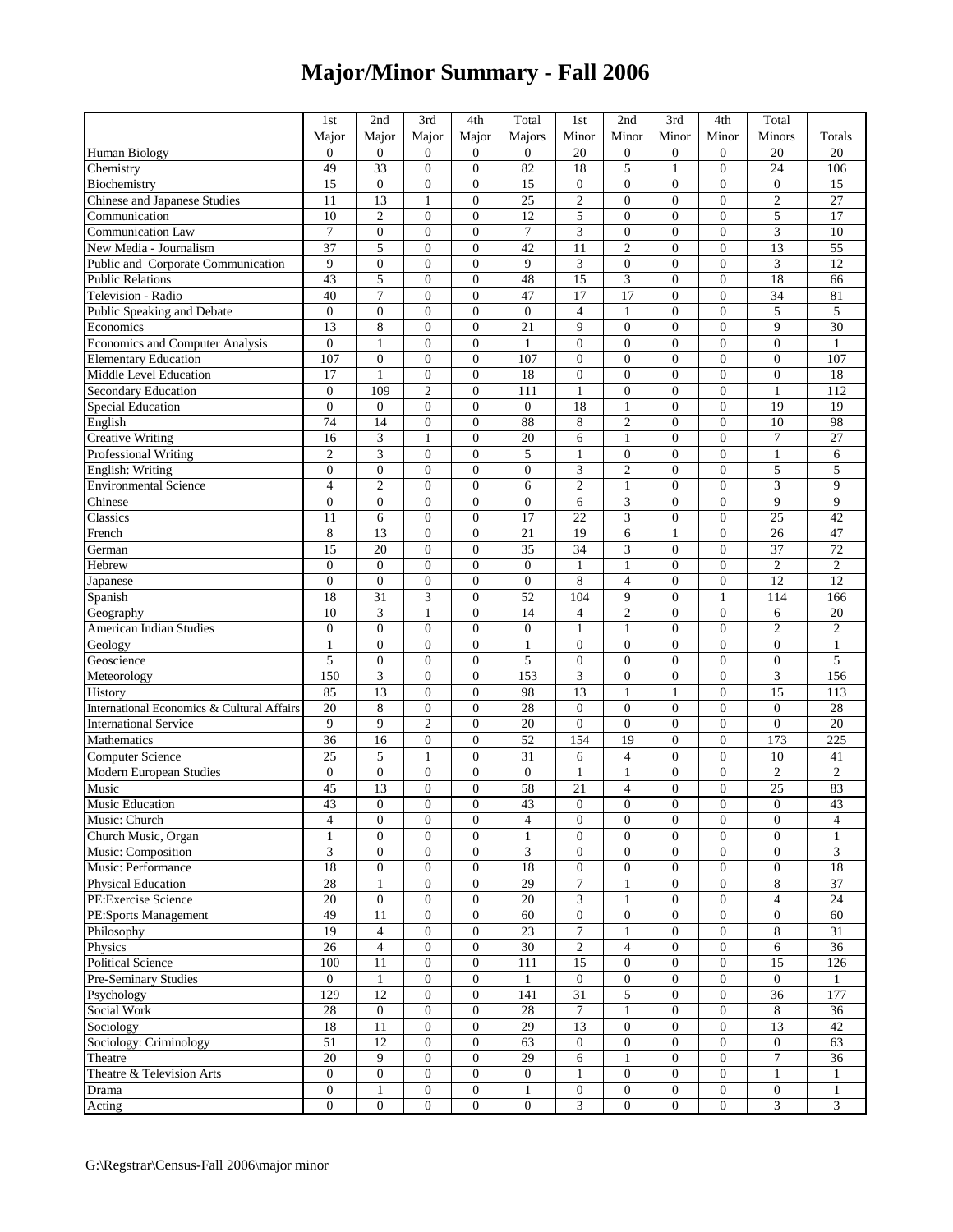## **Major/Minor Summary - Fall 2006**

|                                                 | 1st                         | 2nd                                  | 3rd                                  | 4th                                | Total             | 1 <sub>st</sub>                      | 2nd                              | 3rd                                | 4th                                | Total                        |                                    |
|-------------------------------------------------|-----------------------------|--------------------------------------|--------------------------------------|------------------------------------|-------------------|--------------------------------------|----------------------------------|------------------------------------|------------------------------------|------------------------------|------------------------------------|
|                                                 | Major                       | Major                                | Major                                | Major                              | Majors            | Minor                                | Minor                            | Minor                              | Minor                              | Minors                       | Totals                             |
| <b>Human Biology</b>                            | $\mathbf{0}$                | $\boldsymbol{0}$                     | $\mathbf{0}$                         | $\overline{0}$                     | $\overline{0}$    | 20                                   | $\boldsymbol{0}$                 | $\mathbf{0}$                       | $\overline{0}$                     | 20                           | 20                                 |
| Chemistry                                       | 49                          | 33                                   | $\boldsymbol{0}$                     | $\overline{0}$                     | 82                | 18                                   | 5                                | $\mathbf{1}$                       | $\overline{0}$                     | 24                           | 106                                |
| Biochemistry                                    | 15                          | $\boldsymbol{0}$                     | $\overline{0}$                       | $\overline{0}$                     | 15                | $\overline{0}$                       | $\overline{0}$                   | $\mathbf{0}$                       | $\overline{0}$                     | $\boldsymbol{0}$             | 15                                 |
| Chinese and Japanese Studies                    | 11                          | 13                                   | $\mathbf{1}$                         | $\overline{0}$                     | $\overline{25}$   | $\overline{c}$                       | $\overline{0}$                   | $\overline{0}$                     | $\theta$                           | $\mathbf{2}$                 | 27                                 |
| Communication                                   | 10                          | $\mathfrak{2}$                       | $\mathbf{0}$                         | $\overline{0}$                     | 12                | 5                                    | $\overline{0}$                   | $\overline{0}$                     | $\overline{0}$                     | 5                            | 17                                 |
| <b>Communication Law</b>                        | $\overline{7}$              | $\mathbf{0}$                         | $\overline{0}$                       | $\overline{0}$                     | 7                 | 3                                    | $\overline{0}$                   | $\overline{0}$                     | $\overline{0}$                     | 3                            | 10                                 |
| New Media - Journalism                          | 37                          | 5                                    | $\overline{0}$                       | $\overline{0}$                     | 42                | 11                                   | $\overline{c}$                   | $\overline{0}$                     | $\overline{0}$                     | 13                           | 55                                 |
| Public and Corporate Communication              | 9                           | $\boldsymbol{0}$                     | $\overline{0}$                       | $\overline{0}$                     | 9                 | 3                                    | $\boldsymbol{0}$                 | $\boldsymbol{0}$                   | $\overline{0}$                     | $\ensuremath{\mathfrak{Z}}$  | 12                                 |
| <b>Public Relations</b>                         | 43                          | 5                                    | $\overline{0}$                       | $\overline{0}$                     | 48                | 15                                   | 3                                | $\boldsymbol{0}$                   | $\overline{0}$                     | 18                           | 66                                 |
| Television - Radio                              | 40                          | $\overline{7}$                       | $\overline{0}$                       | $\theta$                           | 47                | 17                                   | 17                               | $\overline{0}$                     | $\theta$                           | 34                           | 81                                 |
| Public Speaking and Debate                      | $\mathbf{0}$                | $\boldsymbol{0}$                     | $\overline{0}$                       | $\overline{0}$                     | $\boldsymbol{0}$  | $\overline{4}$                       | 1                                | $\overline{0}$                     | $\overline{0}$                     | 5                            | 5                                  |
| Economics                                       | 13                          | 8                                    | $\overline{0}$                       | $\overline{0}$                     | 21                | 9                                    | $\boldsymbol{0}$                 | $\overline{0}$                     | $\overline{0}$                     | 9                            | 30                                 |
| Economics and Computer Analysis                 | $\mathbf{0}$                | $\mathbf{1}$                         | $\overline{0}$                       | $\overline{0}$                     | $\mathbf{1}$      | $\overline{0}$                       | $\overline{0}$                   | $\boldsymbol{0}$                   | $\overline{0}$                     | $\mathbf{0}$                 | $\mathbf{1}$                       |
| <b>Elementary Education</b>                     | 107                         | $\mathbf{0}$                         | $\overline{0}$                       | $\overline{0}$                     | 107               | $\overline{0}$                       | $\overline{0}$                   | $\overline{0}$                     | $\overline{0}$                     | $\mathbf{0}$                 | 107                                |
| Middle Level Education                          | 17                          | $\mathbf{1}$                         | $\boldsymbol{0}$                     | $\overline{0}$                     | 18                | $\overline{0}$                       | $\overline{0}$                   | $\overline{0}$                     | $\overline{0}$                     | $\boldsymbol{0}$             | 18                                 |
| Secondary Education                             | $\mathbf{0}$                | 109                                  | $\overline{c}$                       | $\overline{0}$                     | 111               | $\mathbf{1}$                         | $\overline{0}$                   | $\overline{0}$                     | $\overline{0}$                     | $\mathbf{1}$                 | 112                                |
| <b>Special Education</b>                        | $\mathbf{0}$                | $\mathbf{0}$                         | $\overline{0}$                       | $\overline{0}$                     | $\boldsymbol{0}$  | 18                                   | 1                                | $\overline{0}$                     | $\overline{0}$                     | 19                           | 19                                 |
| English                                         | 74                          | 14                                   | $\boldsymbol{0}$                     | $\overline{0}$                     | 88                | 8                                    | $\overline{c}$                   | $\overline{0}$                     | $\overline{0}$                     | 10                           | 98                                 |
| <b>Creative Writing</b>                         | 16                          | $\ensuremath{\mathfrak{Z}}$          | 1                                    | $\overline{0}$                     | 20                | 6                                    | 1                                | $\overline{0}$                     | $\overline{0}$                     | $\overline{7}$               | $\overline{27}$                    |
| <b>Professional Writing</b>                     | $\overline{2}$              | 3                                    | $\overline{0}$                       | $\overline{0}$                     | 5                 | $\mathbf{1}$                         | $\overline{0}$                   | $\overline{0}$                     | $\theta$                           | $\mathbf{1}$                 | 6                                  |
| English: Writing                                | $\overline{0}$              | $\boldsymbol{0}$                     | $\overline{0}$                       | $\overline{0}$                     | $\boldsymbol{0}$  | 3                                    | $\overline{c}$                   | $\overline{0}$                     | $\overline{0}$                     | 5                            | 5                                  |
| <b>Environmental Science</b>                    | $\overline{4}$              | $\overline{c}$                       | $\overline{0}$                       | $\overline{0}$                     | 6                 | $\overline{c}$                       | 1                                | $\overline{0}$                     | $\overline{0}$                     | 3                            | 9                                  |
| Chinese                                         | $\overline{0}$              | $\mathbf{0}$                         | $\overline{0}$                       | $\overline{0}$                     | $\boldsymbol{0}$  | 6                                    | 3                                | $\overline{0}$                     | $\overline{0}$                     | 9                            | 9                                  |
| Classics                                        | 11                          | 6                                    | $\overline{0}$                       | $\overline{0}$                     | 17                | 22                                   | 3                                | $\boldsymbol{0}$                   | $\overline{0}$                     | 25                           | 42                                 |
| French                                          | 8                           | 13                                   | $\mathbf{0}$                         | $\overline{0}$                     | 21                | 19                                   | 6                                | $\mathbf{1}$                       | $\overline{0}$                     | 26                           | 47                                 |
| German                                          | 15                          | 20                                   | $\overline{0}$                       | $\overline{0}$                     | 35                | 34                                   | 3                                | $\overline{0}$                     | $\overline{0}$                     | 37                           | 72                                 |
| Hebrew                                          | $\mathbf{0}$                | $\mathbf{0}$                         | $\overline{0}$                       | $\overline{0}$                     | $\mathbf{0}$      | $\mathbf{1}$                         | $\mathbf{1}$                     | $\overline{0}$                     | $\overline{0}$                     | $\sqrt{2}$                   | $\overline{2}$                     |
|                                                 | $\mathbf{0}$                | $\boldsymbol{0}$                     | $\boldsymbol{0}$                     | $\overline{0}$                     | $\boldsymbol{0}$  | 8                                    | $\overline{4}$                   | $\boldsymbol{0}$                   | $\boldsymbol{0}$                   | 12                           | 12                                 |
| Japanese                                        | 18                          | 31                                   | 3                                    | $\overline{0}$                     | 52                | 104                                  | 9                                | $\boldsymbol{0}$                   | $\mathbf{1}$                       | 114                          | 166                                |
| Spanish                                         | 10                          | 3                                    | $\mathbf{1}$                         | $\overline{0}$                     | 14                | $\overline{4}$                       | $\overline{c}$                   | $\overline{0}$                     | $\theta$                           | 6                            | 20                                 |
| Geography<br>American Indian Studies            | $\overline{0}$              | $\mathbf{0}$                         | $\overline{0}$                       | $\overline{0}$                     | $\boldsymbol{0}$  | $\mathbf{1}$                         | 1                                | $\overline{0}$                     | $\overline{0}$                     | $\overline{c}$               | $\overline{c}$                     |
|                                                 | 1                           |                                      | $\mathbf{0}$                         | $\overline{0}$                     |                   | $\mathbf{0}$                         | $\mathbf{0}$                     | $\overline{0}$                     | $\overline{0}$                     | $\overline{0}$               |                                    |
| Geology<br>Geoscience                           | 5                           | $\boldsymbol{0}$<br>$\boldsymbol{0}$ | $\overline{0}$                       | $\overline{0}$                     | $\mathbf{1}$<br>5 | $\overline{0}$                       | $\overline{0}$                   | $\boldsymbol{0}$                   | $\overline{0}$                     | $\boldsymbol{0}$             | $\mathbf{1}$<br>5                  |
| Meteorology                                     | 150                         | $\overline{\mathbf{3}}$              | $\overline{0}$                       | $\overline{0}$                     | 153               | 3                                    | $\boldsymbol{0}$                 | $\boldsymbol{0}$                   | $\overline{0}$                     | 3                            | 156                                |
| History                                         | 85                          | 13                                   | $\mathbf{0}$                         | $\overline{0}$                     | 98                | 13                                   | $\mathbf{1}$                     | $\mathbf{1}$                       | $\overline{0}$                     | 15                           | 113                                |
| International Economics & Cultural Affairs      | 20                          | 8                                    | $\overline{0}$                       | $\overline{0}$                     | 28                | $\overline{0}$                       | $\overline{0}$                   | $\overline{0}$                     | $\overline{0}$                     | $\mathbf{0}$                 | 28                                 |
| <b>International Service</b>                    | 9                           | 9                                    | $\overline{c}$                       | $\overline{0}$                     | 20                | $\overline{0}$                       | $\overline{0}$                   | $\overline{0}$                     | $\overline{0}$                     | $\overline{0}$               | 20                                 |
| Mathematics                                     | 36                          | 16                                   | $\boldsymbol{0}$                     | $\overline{0}$                     | 52                | 154                                  | 19                               | $\overline{0}$                     | $\overline{0}$                     | 173                          | 225                                |
|                                                 |                             |                                      |                                      |                                    |                   |                                      |                                  |                                    | $\overline{0}$                     |                              |                                    |
| <b>Computer Science</b>                         | 25<br>$\mathbf{0}$          | 5                                    | $\mathbf{1}$                         | $\overline{0}$<br>$\overline{0}$   | 31                | 6                                    | 4                                | $\overline{0}$                     | $\overline{0}$                     | 10                           | 41                                 |
| Modern European Studies<br>Music                |                             | $\boldsymbol{0}$                     | $\overline{0}$                       |                                    | $\boldsymbol{0}$  | $\mathbf{1}$                         | $\mathbf{1}$                     | $\boldsymbol{0}$<br>$\overline{0}$ | $\overline{0}$                     | $\overline{2}$               | $\overline{c}$                     |
|                                                 | 45<br>43                    | 13<br>$\Omega$                       | $\overline{0}$<br>$\theta$           | $\boldsymbol{0}$<br>$\theta$       | 58                | 21<br>$\theta$                       | $\overline{4}$                   | $\theta$                           | $\theta$                           | $\overline{25}$<br>$\Omega$  | 83                                 |
| <b>Music Education</b>                          |                             |                                      |                                      |                                    | $\overline{43}$   |                                      | $\overline{0}$                   |                                    |                                    |                              | $\overline{43}$                    |
| Music: Church                                   | $\overline{4}$              | $\mathbf{0}$                         | $\boldsymbol{0}$                     | $\boldsymbol{0}$                   | $\overline{4}$    | $\boldsymbol{0}$                     | $\boldsymbol{0}$                 | $\overline{0}$                     | $\boldsymbol{0}$                   | $\mathbf{0}$                 | $\overline{4}$                     |
| Church Music, Organ                             | $\mathbf{1}$                | $\mathbf{0}$                         | $\overline{0}$                       | $\boldsymbol{0}$                   | $\mathbf{1}$      | $\overline{0}$                       | $\mathbf{0}$                     | $\mathbf{0}$                       | $\overline{0}$<br>$\boldsymbol{0}$ | $\mathbf{0}$<br>$\mathbf{0}$ | 1                                  |
| Music: Composition                              | $\ensuremath{\mathfrak{Z}}$ | $\boldsymbol{0}$                     | $\boldsymbol{0}$                     | $\boldsymbol{0}$                   | 3                 | $\boldsymbol{0}$                     | $\boldsymbol{0}$                 | $\boldsymbol{0}$                   |                                    |                              | 3                                  |
| Music: Performance<br><b>Physical Education</b> | 18<br>28                    | $\mathbf{0}$<br>$\mathbf{1}$         | $\boldsymbol{0}$<br>$\boldsymbol{0}$ | $\boldsymbol{0}$<br>$\overline{0}$ | 18<br>29          | $\boldsymbol{0}$<br>$\boldsymbol{7}$ | $\boldsymbol{0}$<br>$\mathbf{1}$ | $\boldsymbol{0}$<br>$\mathbf{0}$   | $\boldsymbol{0}$<br>$\overline{0}$ | $\mathbf{0}$<br>8            | $\overline{18}$<br>$\overline{37}$ |
| PE:Exercise Science                             | 20                          |                                      | $\boldsymbol{0}$                     | $\overline{0}$                     | 20                | 3                                    |                                  | $\boldsymbol{0}$                   | $\boldsymbol{0}$                   | $\overline{4}$               | 24                                 |
|                                                 |                             | $\boldsymbol{0}$                     |                                      |                                    |                   |                                      | 1                                |                                    |                                    |                              |                                    |
| PE:Sports Management                            | 49<br>$\overline{19}$       | 11                                   | $\boldsymbol{0}$                     | $\overline{0}$                     | 60                | $\boldsymbol{0}$                     | $\boldsymbol{0}$                 | $\mathbf{0}$                       | $\boldsymbol{0}$                   | $\boldsymbol{0}$             | 60                                 |
| Philosophy                                      |                             | $\overline{4}$                       | $\boldsymbol{0}$                     | $\boldsymbol{0}$                   | 23                | 7                                    | $\mathbf{1}$                     | $\boldsymbol{0}$                   | $\boldsymbol{0}$                   | 8                            | 31                                 |
| Physics                                         | $\overline{26}$             | $\overline{4}$                       | $\boldsymbol{0}$                     | $\boldsymbol{0}$                   | $\overline{30}$   | $\sqrt{2}$                           | $\overline{4}$                   | $\boldsymbol{0}$                   | $\overline{0}$                     | $\sqrt{6}$                   | $\overline{36}$                    |
| <b>Political Science</b>                        | 100                         | 11                                   | $\boldsymbol{0}$                     | $\overline{0}$                     | 111               | 15                                   | $\boldsymbol{0}$                 | $\mathbf{0}$                       | $\overline{0}$                     | 15                           | 126                                |
| Pre-Seminary Studies                            | $\overline{0}$              | 1                                    | $\overline{0}$                       | $\overline{0}$                     | 1                 | $\mathbf{0}$                         | $\boldsymbol{0}$                 | $\mathbf{0}$                       | $\boldsymbol{0}$                   | $\mathbf{0}$                 | 1                                  |
| Psychology                                      | 129                         | 12                                   | $\boldsymbol{0}$                     | $\mathbf{0}$                       | 141               | 31                                   | 5                                | $\boldsymbol{0}$                   | $\overline{0}$                     | 36                           | 177                                |
| Social Work                                     | 28                          | $\mathbf{0}$                         | $\boldsymbol{0}$                     | $\overline{0}$                     | 28                | $\tau$                               | $\mathbf{1}$                     | $\boldsymbol{0}$                   | $\boldsymbol{0}$                   | $\,8\,$                      | 36                                 |
| Sociology                                       | 18                          | 11                                   | $\boldsymbol{0}$                     | $\mathbf{0}$                       | 29                | 13                                   | $\boldsymbol{0}$                 | $\boldsymbol{0}$                   | $\boldsymbol{0}$                   | 13                           | 42                                 |
| Sociology: Criminology                          | $\overline{51}$             | 12                                   | $\boldsymbol{0}$                     | $\mathbf{0}$                       | 63                | $\mathbf{0}$                         | $\boldsymbol{0}$                 | $\mathbf{0}$                       | $\overline{0}$                     | $\mathbf{0}$                 | 63                                 |
| Theatre                                         | 20                          | $\overline{9}$                       | $\boldsymbol{0}$                     | $\boldsymbol{0}$                   | 29                | 6                                    | $\mathbf{1}$                     | $\boldsymbol{0}$                   | $\boldsymbol{0}$                   | $\boldsymbol{7}$             | 36                                 |
| Theatre & Television Arts                       | $\boldsymbol{0}$            | $\boldsymbol{0}$                     | $\boldsymbol{0}$                     | $\boldsymbol{0}$                   | $\boldsymbol{0}$  | 1                                    | $\boldsymbol{0}$                 | $\boldsymbol{0}$                   | $\boldsymbol{0}$                   | $\mathbf{1}$                 | 1                                  |
| Drama                                           | $\boldsymbol{0}$            | $\mathbf{1}$                         | $\boldsymbol{0}$                     | $\boldsymbol{0}$                   | $\mathbf{1}$      | $\boldsymbol{0}$                     | $\mathbf{0}$                     | $\mathbf{0}$                       | $\boldsymbol{0}$                   | $\mathbf{0}$                 | $\mathbf{1}$                       |
| Acting                                          | $\overline{0}$              | $\boldsymbol{0}$                     | $\boldsymbol{0}$                     | $\boldsymbol{0}$                   | $\boldsymbol{0}$  | 3                                    | $\boldsymbol{0}$                 | $\mathbf{0}$                       | $\overline{0}$                     | 3                            | $\overline{\mathbf{3}}$            |